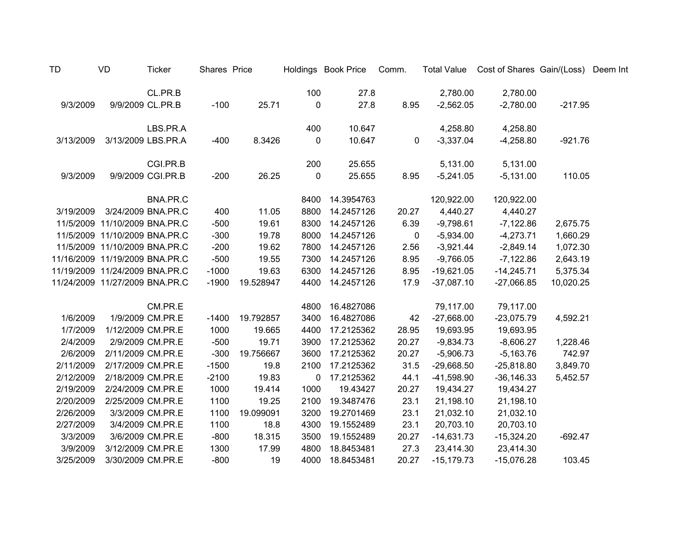| TD        | VD                             | <b>Ticker</b>      | Shares Price |           |             | Holdings Book Price | Comm.       |               | Total Value Cost of Shares Gain/(Loss) Deem Int |           |  |
|-----------|--------------------------------|--------------------|--------------|-----------|-------------|---------------------|-------------|---------------|-------------------------------------------------|-----------|--|
|           |                                | CL.PR.B            |              |           | 100         | 27.8                |             | 2,780.00      | 2,780.00                                        |           |  |
| 9/3/2009  |                                | 9/9/2009 CL.PR.B   | $-100$       | 25.71     | $\mathbf 0$ | 27.8                | 8.95        | $-2,562.05$   | $-2,780.00$                                     | $-217.95$ |  |
|           |                                | LBS.PR.A           |              |           | 400         | 10.647              |             | 4,258.80      | 4,258.80                                        |           |  |
| 3/13/2009 |                                | 3/13/2009 LBS.PR.A | $-400$       | 8.3426    | 0           | 10.647              | $\mathbf 0$ | $-3,337.04$   | $-4,258.80$                                     | $-921.76$ |  |
|           |                                | CGI.PR.B           |              |           | 200         | 25.655              |             | 5,131.00      | 5,131.00                                        |           |  |
| 9/3/2009  |                                | 9/9/2009 CGI.PR.B  | $-200$       | 26.25     | 0           | 25.655              | 8.95        | $-5,241.05$   | $-5,131.00$                                     | 110.05    |  |
|           |                                | BNA.PR.C           |              |           | 8400        | 14.3954763          |             | 120,922.00    | 120,922.00                                      |           |  |
| 3/19/2009 |                                | 3/24/2009 BNA.PR.C | 400          | 11.05     | 8800        | 14.2457126          | 20.27       | 4,440.27      | 4,440.27                                        |           |  |
|           | 11/5/2009 11/10/2009 BNA.PR.C  |                    | $-500$       | 19.61     | 8300        | 14.2457126          | 6.39        | $-9,798.61$   | $-7,122.86$                                     | 2,675.75  |  |
|           | 11/5/2009 11/10/2009 BNA.PR.C  |                    | $-300$       | 19.78     | 8000        | 14.2457126          | 0           | $-5,934.00$   | $-4,273.71$                                     | 1,660.29  |  |
|           | 11/5/2009 11/10/2009 BNA.PR.C  |                    | $-200$       | 19.62     | 7800        | 14.2457126          | 2.56        | $-3,921.44$   | $-2,849.14$                                     | 1,072.30  |  |
|           | 11/16/2009 11/19/2009 BNA.PR.C |                    | $-500$       | 19.55     | 7300        | 14.2457126          | 8.95        | $-9,766.05$   | $-7,122.86$                                     | 2,643.19  |  |
|           | 11/19/2009 11/24/2009 BNA.PR.C |                    | $-1000$      | 19.63     | 6300        | 14.2457126          | 8.95        | $-19,621.05$  | $-14,245.71$                                    | 5,375.34  |  |
|           | 11/24/2009 11/27/2009 BNA.PR.C |                    | $-1900$      | 19.528947 | 4400        | 14.2457126          | 17.9        | $-37,087.10$  | $-27,066.85$                                    | 10,020.25 |  |
|           |                                | CM.PR.E            |              |           | 4800        | 16.4827086          |             | 79,117.00     | 79,117.00                                       |           |  |
| 1/6/2009  |                                | 1/9/2009 CM.PR.E   | $-1400$      | 19.792857 | 3400        | 16.4827086          | 42          | $-27,668.00$  | $-23,075.79$                                    | 4,592.21  |  |
| 1/7/2009  |                                | 1/12/2009 CM.PR.E  | 1000         | 19.665    | 4400        | 17.2125362          | 28.95       | 19,693.95     | 19,693.95                                       |           |  |
| 2/4/2009  |                                | 2/9/2009 CM.PR.E   | $-500$       | 19.71     | 3900        | 17.2125362          | 20.27       | $-9,834.73$   | $-8,606.27$                                     | 1,228.46  |  |
| 2/6/2009  | 2/11/2009 CM.PR.E              |                    | $-300$       | 19.756667 | 3600        | 17.2125362          | 20.27       | $-5,906.73$   | $-5,163.76$                                     | 742.97    |  |
| 2/11/2009 | 2/17/2009 CM.PR.E              |                    | $-1500$      | 19.8      | 2100        | 17.2125362          | 31.5        | $-29,668.50$  | $-25,818.80$                                    | 3,849.70  |  |
| 2/12/2009 | 2/18/2009 CM.PR.E              |                    | $-2100$      | 19.83     | $\mathbf 0$ | 17.2125362          | 44.1        | $-41,598.90$  | $-36, 146.33$                                   | 5,452.57  |  |
| 2/19/2009 | 2/24/2009 CM.PR.E              |                    | 1000         | 19.414    | 1000        | 19.43427            | 20.27       | 19,434.27     | 19,434.27                                       |           |  |
| 2/20/2009 | 2/25/2009 CM.PR.E              |                    | 1100         | 19.25     | 2100        | 19.3487476          | 23.1        | 21,198.10     | 21,198.10                                       |           |  |
| 2/26/2009 |                                | 3/3/2009 CM.PR.E   | 1100         | 19.099091 | 3200        | 19.2701469          | 23.1        | 21,032.10     | 21,032.10                                       |           |  |
| 2/27/2009 |                                | 3/4/2009 CM.PR.E   | 1100         | 18.8      | 4300        | 19.1552489          | 23.1        | 20,703.10     | 20,703.10                                       |           |  |
| 3/3/2009  |                                | 3/6/2009 CM.PR.E   | $-800$       | 18.315    | 3500        | 19.1552489          | 20.27       | $-14,631.73$  | $-15,324.20$                                    | $-692.47$ |  |
| 3/9/2009  | 3/12/2009 CM.PR.E              |                    | 1300         | 17.99     | 4800        | 18.8453481          | 27.3        | 23,414.30     | 23,414.30                                       |           |  |
| 3/25/2009 | 3/30/2009 CM.PR.E              |                    | $-800$       | 19        | 4000        | 18.8453481          | 20.27       | $-15, 179.73$ | $-15,076.28$                                    | 103.45    |  |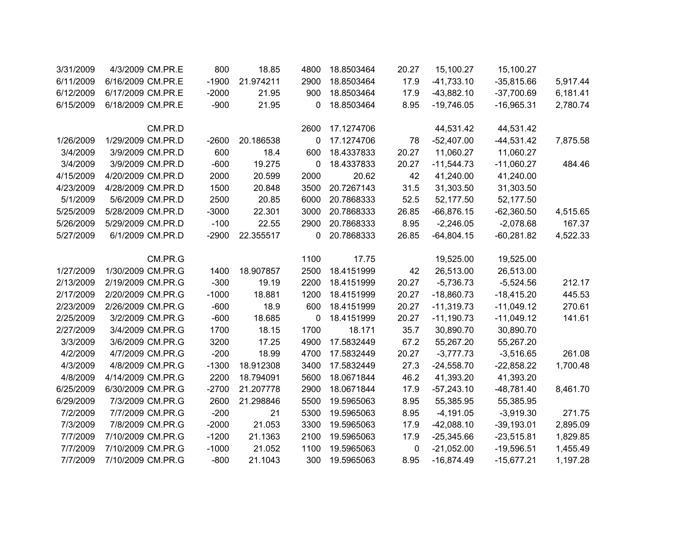| 3/31/2009 | 4/3/2009 CM.PR.E  | 800     | 18.85     | 4800         | 18.8503464 | 20.27 | 15,100.27    | 15,100.27    |          |
|-----------|-------------------|---------|-----------|--------------|------------|-------|--------------|--------------|----------|
| 6/11/2009 | 6/16/2009 CM.PR.E | $-1900$ | 21.974211 | 2900         | 18.8503464 | 17.9  | $-41,733.10$ | $-35,815.66$ | 5,917.44 |
| 6/12/2009 | 6/17/2009 CM.PR.E | $-2000$ | 21.95     | 900          | 18.8503464 | 17.9  | $-43,882.10$ | $-37,700.69$ | 6,181.41 |
| 6/15/2009 | 6/18/2009 CM.PR.E | $-900$  | 21.95     | $\mathbf{0}$ | 18.8503464 | 8.95  | $-19,746.05$ | $-16,965.31$ | 2,780.74 |
|           | CM.PR.D           |         |           | 2600         | 17.1274706 |       | 44,531.42    | 44,531.42    |          |
| 1/26/2009 | 1/29/2009 CM.PR.D | $-2600$ | 20.186538 | $\mathbf 0$  | 17.1274706 | 78    | $-52,407.00$ | $-44,531.42$ | 7,875.58 |
| 3/4/2009  | 3/9/2009 CM.PR.D  | 600     | 18.4      | 600          | 18.4337833 | 20.27 | 11,060.27    | 11,060.27    |          |
| 3/4/2009  | 3/9/2009 CM.PR.D  | $-600$  | 19.275    | $\mathbf{0}$ | 18.4337833 | 20.27 | $-11,544.73$ | $-11,060.27$ | 484.46   |
| 4/15/2009 | 4/20/2009 CM.PR.D | 2000    | 20.599    | 2000         | 20.62      | 42    | 41,240.00    | 41,240.00    |          |
| 4/23/2009 | 4/28/2009 CM.PR.D | 1500    | 20.848    | 3500         | 20.7267143 | 31.5  | 31,303.50    | 31,303.50    |          |
| 5/1/2009  | 5/6/2009 CM.PR.D  | 2500    | 20.85     | 6000         | 20.7868333 | 52.5  | 52,177.50    | 52,177.50    |          |
| 5/25/2009 | 5/28/2009 CM.PR.D | $-3000$ | 22.301    | 3000         | 20.7868333 | 26.85 | $-66,876.15$ | $-62,360.50$ | 4,515.65 |
| 5/26/2009 | 5/29/2009 CM.PR.D | $-100$  | 22.55     | 2900         | 20.7868333 | 8.95  | $-2,246.05$  | $-2,078.68$  | 167.37   |
| 5/27/2009 | 6/1/2009 CM.PR.D  | $-2900$ | 22.355517 | 0            | 20.7868333 | 26.85 | $-64,804.15$ | $-60,281.82$ | 4,522.33 |
|           | CM.PR.G           |         |           | 1100         | 17.75      |       | 19,525.00    | 19,525.00    |          |
| 1/27/2009 | 1/30/2009 CM.PR.G | 1400    | 18.907857 | 2500         | 18.4151999 | 42    | 26,513.00    | 26,513.00    |          |
| 2/13/2009 | 2/19/2009 CM.PR.G | $-300$  | 19.19     | 2200         | 18.4151999 | 20.27 | $-5,736.73$  | $-5,524.56$  | 212.17   |
| 2/17/2009 | 2/20/2009 CM.PR.G | $-1000$ | 18.881    | 1200         | 18.4151999 | 20.27 | $-18,860.73$ | $-18,415.20$ | 445.53   |
| 2/23/2009 | 2/26/2009 CM.PR.G | $-600$  | 18.9      | 600          | 18.4151999 | 20.27 | $-11,319.73$ | $-11,049.12$ | 270.61   |
| 2/25/2009 | 3/2/2009 CM.PR.G  | $-600$  | 18.685    | 0            | 18.4151999 | 20.27 | $-11,190.73$ | $-11,049.12$ | 141.61   |
| 2/27/2009 | 3/4/2009 CM.PR.G  | 1700    | 18.15     | 1700         | 18.171     | 35.7  | 30,890.70    | 30,890.70    |          |
| 3/3/2009  | 3/6/2009 CM.PR.G  | 3200    | 17.25     | 4900         | 17.5832449 | 67.2  | 55,267.20    | 55,267.20    |          |
| 4/2/2009  | 4/7/2009 CM.PR.G  | $-200$  | 18.99     | 4700         | 17.5832449 | 20.27 | $-3,777.73$  | $-3,516.65$  | 261.08   |
| 4/3/2009  | 4/8/2009 CM.PR.G  | $-1300$ | 18.912308 | 3400         | 17.5832449 | 27.3  | $-24,558.70$ | $-22,858.22$ | 1,700.48 |
| 4/8/2009  | 4/14/2009 CM.PR.G | 2200    | 18.794091 | 5600         | 18.0671844 | 46.2  | 41,393.20    | 41,393.20    |          |
| 6/25/2009 | 6/30/2009 CM.PR.G | $-2700$ | 21.207778 | 2900         | 18.0671844 | 17.9  | $-57,243.10$ | $-48,781.40$ | 8,461.70 |
| 6/29/2009 | 7/3/2009 CM.PR.G  | 2600    | 21.298846 | 5500         | 19.5965063 | 8.95  | 55,385.95    | 55,385.95    |          |
| 7/2/2009  | 7/7/2009 CM.PR.G  | $-200$  | 21        | 5300         | 19.5965063 | 8.95  | $-4,191.05$  | $-3,919.30$  | 271.75   |
| 7/3/2009  | 7/8/2009 CM.PR.G  | $-2000$ | 21.053    | 3300         | 19.5965063 | 17.9  | $-42,088.10$ | $-39,193.01$ | 2,895.09 |
| 7/7/2009  | 7/10/2009 CM.PR.G | $-1200$ | 21.1363   | 2100         | 19.5965063 | 17.9  | $-25,345.66$ | $-23,515.81$ | 1,829.85 |
| 7/7/2009  | 7/10/2009 CM.PR.G | $-1000$ | 21.052    | 1100         | 19.5965063 | 0     | $-21,052.00$ | $-19,596.51$ | 1,455.49 |
| 7/7/2009  | 7/10/2009 CM.PR.G | $-800$  | 21.1043   | 300          | 19.5965063 | 8.95  | $-16,874.49$ | $-15,677.21$ | 1,197.28 |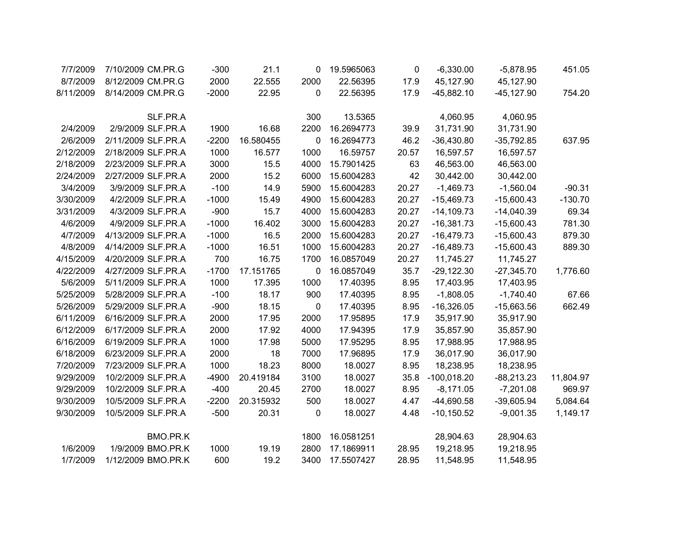| 7/7/2009  | 7/10/2009 CM.PR.G  | $-300$  | 21.1      | 0    | 19.5965063 | 0     | $-6,330.00$   | $-5,878.95$   | 451.05    |
|-----------|--------------------|---------|-----------|------|------------|-------|---------------|---------------|-----------|
| 8/7/2009  | 8/12/2009 CM.PR.G  | 2000    | 22.555    | 2000 | 22.56395   | 17.9  | 45,127.90     | 45,127.90     |           |
| 8/11/2009 | 8/14/2009 CM.PR.G  | $-2000$ | 22.95     | 0    | 22.56395   | 17.9  | $-45,882.10$  | $-45, 127.90$ | 754.20    |
|           |                    |         |           |      |            |       |               |               |           |
|           | SLF.PR.A           |         |           | 300  | 13.5365    |       | 4,060.95      | 4,060.95      |           |
| 2/4/2009  | 2/9/2009 SLF.PR.A  | 1900    | 16.68     | 2200 | 16.2694773 | 39.9  | 31,731.90     | 31,731.90     |           |
| 2/6/2009  | 2/11/2009 SLF.PR.A | $-2200$ | 16.580455 | 0    | 16.2694773 | 46.2  | $-36,430.80$  | $-35,792.85$  | 637.95    |
| 2/12/2009 | 2/18/2009 SLF.PR.A | 1000    | 16.577    | 1000 | 16.59757   | 20.57 | 16,597.57     | 16,597.57     |           |
| 2/18/2009 | 2/23/2009 SLF.PR.A | 3000    | 15.5      | 4000 | 15.7901425 | 63    | 46,563.00     | 46,563.00     |           |
| 2/24/2009 | 2/27/2009 SLF.PR.A | 2000    | 15.2      | 6000 | 15.6004283 | 42    | 30,442.00     | 30,442.00     |           |
| 3/4/2009  | 3/9/2009 SLF.PR.A  | $-100$  | 14.9      | 5900 | 15.6004283 | 20.27 | $-1,469.73$   | $-1,560.04$   | $-90.31$  |
| 3/30/2009 | 4/2/2009 SLF.PR.A  | $-1000$ | 15.49     | 4900 | 15.6004283 | 20.27 | $-15,469.73$  | $-15,600.43$  | $-130.70$ |
| 3/31/2009 | 4/3/2009 SLF.PR.A  | $-900$  | 15.7      | 4000 | 15.6004283 | 20.27 | $-14,109.73$  | $-14,040.39$  | 69.34     |
| 4/6/2009  | 4/9/2009 SLF.PR.A  | $-1000$ | 16.402    | 3000 | 15.6004283 | 20.27 | $-16,381.73$  | $-15,600.43$  | 781.30    |
| 4/7/2009  | 4/13/2009 SLF.PR.A | $-1000$ | 16.5      | 2000 | 15.6004283 | 20.27 | $-16,479.73$  | $-15,600.43$  | 879.30    |
| 4/8/2009  | 4/14/2009 SLF.PR.A | $-1000$ | 16.51     | 1000 | 15.6004283 | 20.27 | $-16,489.73$  | $-15,600.43$  | 889.30    |
| 4/15/2009 | 4/20/2009 SLF.PR.A | 700     | 16.75     | 1700 | 16.0857049 | 20.27 | 11,745.27     | 11,745.27     |           |
| 4/22/2009 | 4/27/2009 SLF.PR.A | $-1700$ | 17.151765 | 0    | 16.0857049 | 35.7  | $-29,122.30$  | $-27,345.70$  | 1,776.60  |
| 5/6/2009  | 5/11/2009 SLF.PR.A | 1000    | 17.395    | 1000 | 17.40395   | 8.95  | 17,403.95     | 17,403.95     |           |
| 5/25/2009 | 5/28/2009 SLF.PR.A | $-100$  | 18.17     | 900  | 17.40395   | 8.95  | $-1,808.05$   | $-1,740.40$   | 67.66     |
| 5/26/2009 | 5/29/2009 SLF.PR.A | $-900$  | 18.15     | 0    | 17.40395   | 8.95  | $-16,326.05$  | $-15,663.56$  | 662.49    |
| 6/11/2009 | 6/16/2009 SLF.PR.A | 2000    | 17.95     | 2000 | 17.95895   | 17.9  | 35,917.90     | 35,917.90     |           |
| 6/12/2009 | 6/17/2009 SLF.PR.A | 2000    | 17.92     | 4000 | 17.94395   | 17.9  | 35,857.90     | 35,857.90     |           |
| 6/16/2009 | 6/19/2009 SLF.PR.A | 1000    | 17.98     | 5000 | 17.95295   | 8.95  | 17,988.95     | 17,988.95     |           |
| 6/18/2009 | 6/23/2009 SLF.PR.A | 2000    | 18        | 7000 | 17.96895   | 17.9  | 36,017.90     | 36,017.90     |           |
| 7/20/2009 | 7/23/2009 SLF.PR.A | 1000    | 18.23     | 8000 | 18.0027    | 8.95  | 18,238.95     | 18,238.95     |           |
| 9/29/2009 | 10/2/2009 SLF.PR.A | $-4900$ | 20.419184 | 3100 | 18.0027    | 35.8  | $-100,018.20$ | $-88,213.23$  | 11,804.97 |
| 9/29/2009 | 10/2/2009 SLF.PR.A | $-400$  | 20.45     | 2700 | 18.0027    | 8.95  | $-8,171.05$   | $-7,201.08$   | 969.97    |
| 9/30/2009 | 10/5/2009 SLF.PR.A | $-2200$ | 20.315932 | 500  | 18.0027    | 4.47  | $-44,690.58$  | $-39,605.94$  | 5,084.64  |
| 9/30/2009 | 10/5/2009 SLF.PR.A | $-500$  | 20.31     | 0    | 18.0027    | 4.48  | $-10, 150.52$ | $-9,001.35$   | 1,149.17  |
|           |                    |         |           |      |            |       |               |               |           |
|           | BMO.PR.K           |         |           | 1800 | 16.0581251 |       | 28,904.63     | 28,904.63     |           |
| 1/6/2009  | 1/9/2009 BMO.PR.K  | 1000    | 19.19     | 2800 | 17.1869911 | 28.95 | 19,218.95     | 19,218.95     |           |
| 1/7/2009  | 1/12/2009 BMO.PR.K | 600     | 19.2      | 3400 | 17.5507427 | 28.95 | 11,548.95     | 11,548.95     |           |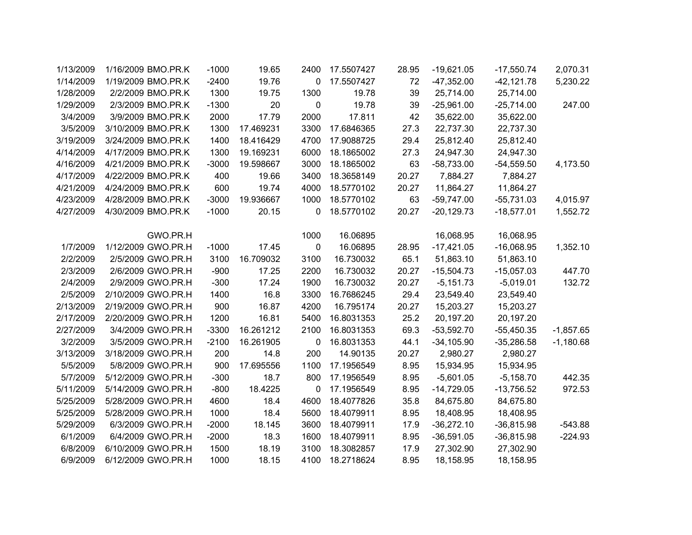| 1/13/2009 | 1/16/2009 BMO.PR.K | $-1000$ | 19.65     | 2400         | 17.5507427 | 28.95 | $-19,621.05$ | $-17,550.74$  | 2,070.31    |
|-----------|--------------------|---------|-----------|--------------|------------|-------|--------------|---------------|-------------|
| 1/14/2009 | 1/19/2009 BMO.PR.K | $-2400$ | 19.76     | 0            | 17.5507427 | 72    | $-47,352.00$ | $-42, 121.78$ | 5,230.22    |
| 1/28/2009 | 2/2/2009 BMO.PR.K  | 1300    | 19.75     | 1300         | 19.78      | 39    | 25,714.00    | 25,714.00     |             |
| 1/29/2009 | 2/3/2009 BMO.PR.K  | $-1300$ | 20        | $\mathbf{0}$ | 19.78      | 39    | $-25,961.00$ | $-25,714.00$  | 247.00      |
| 3/4/2009  | 3/9/2009 BMO.PR.K  | 2000    | 17.79     | 2000         | 17.811     | 42    | 35,622.00    | 35,622.00     |             |
| 3/5/2009  | 3/10/2009 BMO.PR.K | 1300    | 17.469231 | 3300         | 17.6846365 | 27.3  | 22,737.30    | 22,737.30     |             |
| 3/19/2009 | 3/24/2009 BMO.PR.K | 1400    | 18.416429 | 4700         | 17.9088725 | 29.4  | 25,812.40    | 25,812.40     |             |
| 4/14/2009 | 4/17/2009 BMO.PR.K | 1300    | 19.169231 | 6000         | 18.1865002 | 27.3  | 24,947.30    | 24,947.30     |             |
| 4/16/2009 | 4/21/2009 BMO.PR.K | $-3000$ | 19.598667 | 3000         | 18.1865002 | 63    | $-58,733.00$ | $-54,559.50$  | 4,173.50    |
| 4/17/2009 | 4/22/2009 BMO.PR.K | 400     | 19.66     | 3400         | 18.3658149 | 20.27 | 7,884.27     | 7,884.27      |             |
| 4/21/2009 | 4/24/2009 BMO.PR.K | 600     | 19.74     | 4000         | 18.5770102 | 20.27 | 11,864.27    | 11,864.27     |             |
| 4/23/2009 | 4/28/2009 BMO.PR.K | $-3000$ | 19.936667 | 1000         | 18.5770102 | 63    | $-59,747.00$ | $-55,731.03$  | 4,015.97    |
| 4/27/2009 | 4/30/2009 BMO.PR.K | $-1000$ | 20.15     | 0            | 18.5770102 | 20.27 | $-20,129.73$ | $-18,577.01$  | 1,552.72    |
|           |                    |         |           |              |            |       |              |               |             |
|           | GWO.PR.H           |         |           | 1000         | 16.06895   |       | 16,068.95    | 16,068.95     |             |
| 1/7/2009  | 1/12/2009 GWO.PR.H | $-1000$ | 17.45     | 0            | 16.06895   | 28.95 | $-17,421.05$ | $-16,068.95$  | 1,352.10    |
| 2/2/2009  | 2/5/2009 GWO.PR.H  | 3100    | 16.709032 | 3100         | 16.730032  | 65.1  | 51,863.10    | 51,863.10     |             |
| 2/3/2009  | 2/6/2009 GWO.PR.H  | $-900$  | 17.25     | 2200         | 16.730032  | 20.27 | $-15,504.73$ | $-15,057.03$  | 447.70      |
| 2/4/2009  | 2/9/2009 GWO.PR.H  | $-300$  | 17.24     | 1900         | 16.730032  | 20.27 | $-5,151.73$  | $-5,019.01$   | 132.72      |
| 2/5/2009  | 2/10/2009 GWO.PR.H | 1400    | 16.8      | 3300         | 16.7686245 | 29.4  | 23,549.40    | 23,549.40     |             |
| 2/13/2009 | 2/19/2009 GWO.PR.H | 900     | 16.87     | 4200         | 16.795174  | 20.27 | 15,203.27    | 15,203.27     |             |
| 2/17/2009 | 2/20/2009 GWO.PR.H | 1200    | 16.81     | 5400         | 16.8031353 | 25.2  | 20,197.20    | 20,197.20     |             |
| 2/27/2009 | 3/4/2009 GWO.PR.H  | $-3300$ | 16.261212 | 2100         | 16.8031353 | 69.3  | $-53,592.70$ | $-55,450.35$  | $-1,857.65$ |
| 3/2/2009  | 3/5/2009 GWO.PR.H  | $-2100$ | 16.261905 | 0            | 16.8031353 | 44.1  | $-34,105.90$ | $-35,286.58$  | $-1,180.68$ |
| 3/13/2009 | 3/18/2009 GWO.PR.H | 200     | 14.8      | 200          | 14.90135   | 20.27 | 2,980.27     | 2,980.27      |             |
| 5/5/2009  | 5/8/2009 GWO.PR.H  | 900     | 17.695556 | 1100         | 17.1956549 | 8.95  | 15,934.95    | 15,934.95     |             |
| 5/7/2009  | 5/12/2009 GWO.PR.H | $-300$  | 18.7      | 800          | 17.1956549 | 8.95  | $-5,601.05$  | $-5,158.70$   | 442.35      |
| 5/11/2009 | 5/14/2009 GWO.PR.H | $-800$  | 18.4225   | 0            | 17.1956549 | 8.95  | $-14,729.05$ | $-13,756.52$  | 972.53      |
| 5/25/2009 | 5/28/2009 GWO.PR.H | 4600    | 18.4      | 4600         | 18.4077826 | 35.8  | 84,675.80    | 84,675.80     |             |
| 5/25/2009 | 5/28/2009 GWO.PR.H | 1000    | 18.4      | 5600         | 18.4079911 | 8.95  | 18,408.95    | 18,408.95     |             |
| 5/29/2009 | 6/3/2009 GWO.PR.H  | $-2000$ | 18.145    | 3600         | 18.4079911 | 17.9  | $-36,272.10$ | $-36,815.98$  | $-543.88$   |
| 6/1/2009  | 6/4/2009 GWO.PR.H  | $-2000$ | 18.3      | 1600         | 18.4079911 | 8.95  | $-36,591.05$ | $-36,815.98$  | $-224.93$   |
| 6/8/2009  | 6/10/2009 GWO.PR.H | 1500    | 18.19     | 3100         | 18.3082857 | 17.9  | 27,302.90    | 27,302.90     |             |
| 6/9/2009  | 6/12/2009 GWO.PR.H | 1000    | 18.15     | 4100         | 18.2718624 | 8.95  | 18,158.95    | 18,158.95     |             |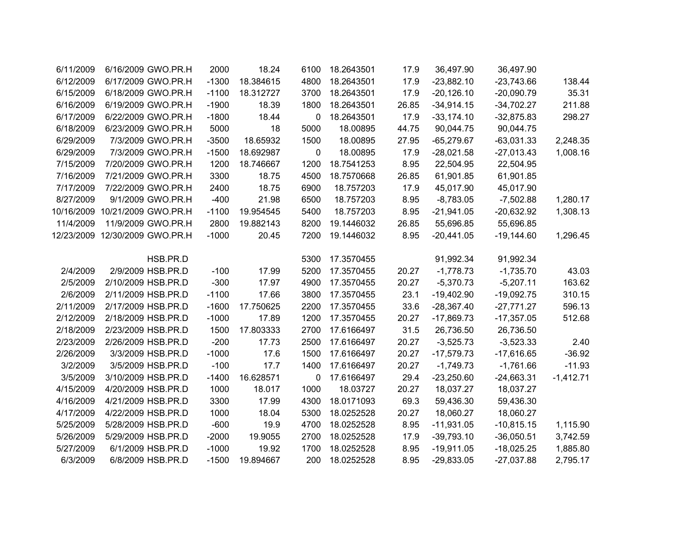|             | 36,497.90    | 36,497.90    | 17.9  | 18.2643501 | 6100 | 18.24     | 2000    | 6/16/2009 GWO.PR.H             | 6/11/2009 |
|-------------|--------------|--------------|-------|------------|------|-----------|---------|--------------------------------|-----------|
| 138.44      | $-23,743.66$ | $-23,882.10$ | 17.9  | 18.2643501 | 4800 | 18.384615 | $-1300$ | 6/17/2009 GWO.PR.H             | 6/12/2009 |
| 35.31       | $-20,090.79$ | $-20,126.10$ | 17.9  | 18.2643501 | 3700 | 18.312727 | $-1100$ | 6/18/2009 GWO.PR.H             | 6/15/2009 |
| 211.88      | $-34,702.27$ | $-34,914.15$ | 26.85 | 18.2643501 | 1800 | 18.39     | $-1900$ | 6/19/2009 GWO.PR.H             | 6/16/2009 |
| 298.27      | $-32,875.83$ | $-33,174.10$ | 17.9  | 18.2643501 | 0    | 18.44     | $-1800$ | 6/22/2009 GWO.PR.H             | 6/17/2009 |
|             | 90,044.75    | 90,044.75    | 44.75 | 18.00895   | 5000 | 18        | 5000    | 6/23/2009 GWO.PR.H             | 6/18/2009 |
| 2,248.35    | $-63,031.33$ | $-65,279.67$ | 27.95 | 18.00895   | 1500 | 18.65932  | $-3500$ | 7/3/2009 GWO.PR.H              | 6/29/2009 |
| 1,008.16    | $-27,013.43$ | $-28,021.58$ | 17.9  | 18.00895   | 0    | 18.692987 | $-1500$ | 7/3/2009 GWO.PR.H              | 6/29/2009 |
|             | 22,504.95    | 22,504.95    | 8.95  | 18.7541253 | 1200 | 18.746667 | 1200    | 7/20/2009 GWO.PR.H             | 7/15/2009 |
|             | 61,901.85    | 61,901.85    | 26.85 | 18.7570668 | 4500 | 18.75     | 3300    | 7/21/2009 GWO.PR.H             | 7/16/2009 |
|             | 45,017.90    | 45,017.90    | 17.9  | 18.757203  | 6900 | 18.75     | 2400    | 7/22/2009 GWO.PR.H             | 7/17/2009 |
| 1,280.17    | $-7,502.88$  | $-8,783.05$  | 8.95  | 18.757203  | 6500 | 21.98     | $-400$  | 9/1/2009 GWO.PR.H              | 8/27/2009 |
| 1,308.13    | $-20,632.92$ | $-21,941.05$ | 8.95  | 18.757203  | 5400 | 19.954545 | $-1100$ | 10/16/2009 10/21/2009 GWO.PR.H |           |
|             | 55,696.85    | 55,696.85    | 26.85 | 19.1446032 | 8200 | 19.882143 | 2800    | 11/9/2009 GWO.PR.H             | 11/4/2009 |
| 1,296.45    | $-19,144.60$ | $-20,441.05$ | 8.95  | 19.1446032 | 7200 | 20.45     | $-1000$ | 12/23/2009 12/30/2009 GWO.PR.H |           |
|             |              |              |       |            |      |           |         |                                |           |
|             | 91,992.34    | 91,992.34    |       | 17.3570455 | 5300 |           |         | HSB.PR.D                       |           |
| 43.03       | $-1,735.70$  | $-1,778.73$  | 20.27 | 17.3570455 | 5200 | 17.99     | $-100$  | 2/9/2009 HSB.PR.D              | 2/4/2009  |
| 163.62      | $-5,207.11$  | $-5,370.73$  | 20.27 | 17.3570455 | 4900 | 17.97     | $-300$  | 2/10/2009 HSB.PR.D             | 2/5/2009  |
| 310.15      | $-19,092.75$ | $-19,402.90$ | 23.1  | 17.3570455 | 3800 | 17.66     | $-1100$ | 2/11/2009 HSB.PR.D             | 2/6/2009  |
| 596.13      | $-27,771.27$ | $-28,367.40$ | 33.6  | 17.3570455 | 2200 | 17.750625 | $-1600$ | 2/17/2009 HSB.PR.D             | 2/11/2009 |
| 512.68      | $-17,357.05$ | $-17,869.73$ | 20.27 | 17.3570455 | 1200 | 17.89     | $-1000$ | 2/18/2009 HSB.PR.D             | 2/12/2009 |
|             | 26,736.50    | 26,736.50    | 31.5  | 17.6166497 | 2700 | 17.803333 | 1500    | 2/23/2009 HSB.PR.D             | 2/18/2009 |
| 2.40        | $-3,523.33$  | $-3,525.73$  | 20.27 | 17.6166497 | 2500 | 17.73     | $-200$  | 2/26/2009 HSB.PR.D             | 2/23/2009 |
| $-36.92$    | $-17,616.65$ | $-17,579.73$ | 20.27 | 17.6166497 | 1500 | 17.6      | $-1000$ | 3/3/2009 HSB.PR.D              | 2/26/2009 |
| $-11.93$    | $-1,761.66$  | $-1,749.73$  | 20.27 | 17.6166497 | 1400 | 17.7      | $-100$  | 3/5/2009 HSB.PR.D              | 3/2/2009  |
| $-1,412.71$ | $-24,663.31$ | $-23,250.60$ | 29.4  | 17.6166497 | 0    | 16.628571 | $-1400$ | 3/10/2009 HSB.PR.D             | 3/5/2009  |
|             | 18,037.27    | 18,037.27    | 20.27 | 18.03727   | 1000 | 18.017    | 1000    | 4/20/2009 HSB.PR.D             | 4/15/2009 |
|             | 59,436.30    | 59,436.30    | 69.3  | 18.0171093 | 4300 | 17.99     | 3300    | 4/21/2009 HSB.PR.D             | 4/16/2009 |
|             | 18,060.27    | 18,060.27    | 20.27 | 18.0252528 | 5300 | 18.04     | 1000    | 4/22/2009 HSB.PR.D             | 4/17/2009 |
| 1,115.90    | $-10,815.15$ | $-11,931.05$ | 8.95  | 18.0252528 | 4700 | 19.9      | $-600$  | 5/28/2009 HSB.PR.D             | 5/25/2009 |
| 3,742.59    | $-36,050.51$ | $-39,793.10$ | 17.9  | 18.0252528 | 2700 | 19.9055   | $-2000$ | 5/29/2009 HSB.PR.D             | 5/26/2009 |
| 1,885.80    | $-18,025.25$ | $-19,911.05$ | 8.95  | 18.0252528 | 1700 | 19.92     | $-1000$ | 6/1/2009 HSB.PR.D              | 5/27/2009 |
| 2,795.17    | $-27,037.88$ | $-29,833.05$ | 8.95  | 18.0252528 | 200  | 19.894667 | $-1500$ | 6/8/2009 HSB.PR.D              | 6/3/2009  |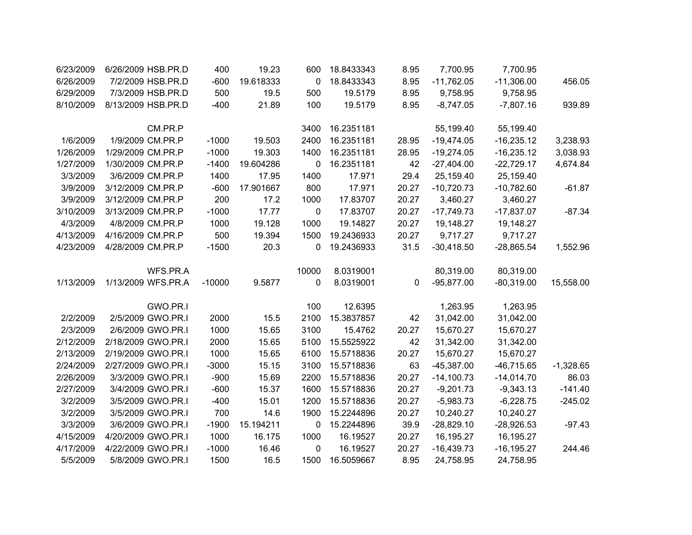| 6/23/2009 | 6/26/2009 HSB.PR.D | 400      | 19.23     | 600         | 18.8433343 | 8.95  | 7,700.95     | 7,700.95      |             |
|-----------|--------------------|----------|-----------|-------------|------------|-------|--------------|---------------|-------------|
| 6/26/2009 | 7/2/2009 HSB.PR.D  | $-600$   | 19.618333 | 0           | 18.8433343 | 8.95  | $-11,762.05$ | $-11,306.00$  | 456.05      |
| 6/29/2009 | 7/3/2009 HSB.PR.D  | 500      | 19.5      | 500         | 19.5179    | 8.95  | 9,758.95     | 9,758.95      |             |
| 8/10/2009 | 8/13/2009 HSB.PR.D | $-400$   | 21.89     | 100         | 19.5179    | 8.95  | $-8,747.05$  | $-7,807.16$   | 939.89      |
|           | CM.PR.P            |          |           | 3400        | 16.2351181 |       | 55,199.40    | 55,199.40     |             |
| 1/6/2009  | 1/9/2009 CM.PR.P   | $-1000$  | 19.503    | 2400        | 16.2351181 | 28.95 | $-19,474.05$ | $-16,235.12$  | 3,238.93    |
| 1/26/2009 | 1/29/2009 CM.PR.P  | $-1000$  | 19.303    | 1400        | 16.2351181 | 28.95 | $-19,274.05$ | $-16,235.12$  | 3,038.93    |
| 1/27/2009 | 1/30/2009 CM.PR.P  | $-1400$  | 19.604286 | 0           | 16.2351181 | 42    | $-27,404.00$ | $-22,729.17$  | 4,674.84    |
| 3/3/2009  | 3/6/2009 CM.PR.P   | 1400     | 17.95     | 1400        | 17.971     | 29.4  | 25,159.40    | 25,159.40     |             |
| 3/9/2009  | 3/12/2009 CM.PR.P  | $-600$   | 17.901667 | 800         | 17.971     | 20.27 | $-10,720.73$ | $-10,782.60$  | $-61.87$    |
| 3/9/2009  | 3/12/2009 CM.PR.P  | 200      | 17.2      | 1000        | 17.83707   | 20.27 | 3,460.27     | 3,460.27      |             |
| 3/10/2009 | 3/13/2009 CM.PR.P  | $-1000$  | 17.77     | $\mathbf 0$ | 17.83707   | 20.27 | $-17,749.73$ | $-17,837.07$  | $-87.34$    |
| 4/3/2009  | 4/8/2009 CM.PR.P   | 1000     | 19.128    | 1000        | 19.14827   | 20.27 | 19,148.27    | 19,148.27     |             |
| 4/13/2009 | 4/16/2009 CM.PR.P  | 500      | 19.394    | 1500        | 19.2436933 | 20.27 | 9,717.27     | 9,717.27      |             |
| 4/23/2009 | 4/28/2009 CM.PR.P  | $-1500$  | 20.3      | 0           | 19.2436933 | 31.5  | $-30,418.50$ | $-28,865.54$  | 1,552.96    |
|           | WFS.PR.A           |          |           | 10000       | 8.0319001  |       | 80,319.00    | 80,319.00     |             |
| 1/13/2009 | 1/13/2009 WFS.PR.A | $-10000$ | 9.5877    | 0           | 8.0319001  | 0     | $-95,877.00$ | $-80,319.00$  | 15,558.00   |
|           | GWO.PR.I           |          |           | 100         | 12.6395    |       | 1,263.95     | 1,263.95      |             |
| 2/2/2009  | 2/5/2009 GWO.PR.I  | 2000     | 15.5      | 2100        | 15.3837857 | 42    | 31,042.00    | 31,042.00     |             |
| 2/3/2009  | 2/6/2009 GWO.PR.I  | 1000     | 15.65     | 3100        | 15.4762    | 20.27 | 15,670.27    | 15,670.27     |             |
| 2/12/2009 | 2/18/2009 GWO.PR.I | 2000     | 15.65     | 5100        | 15.5525922 | 42    | 31,342.00    | 31,342.00     |             |
| 2/13/2009 | 2/19/2009 GWO.PR.I | 1000     | 15.65     | 6100        | 15.5718836 | 20.27 | 15,670.27    | 15,670.27     |             |
| 2/24/2009 | 2/27/2009 GWO.PR.I | $-3000$  | 15.15     | 3100        | 15.5718836 | 63    | $-45,387.00$ | $-46,715.65$  | $-1,328.65$ |
| 2/26/2009 | 3/3/2009 GWO.PR.I  | $-900$   | 15.69     | 2200        | 15.5718836 | 20.27 | $-14,100.73$ | $-14,014.70$  | 86.03       |
| 2/27/2009 | 3/4/2009 GWO.PR.I  | $-600$   | 15.37     | 1600        | 15.5718836 | 20.27 | $-9,201.73$  | $-9,343.13$   | $-141.40$   |
| 3/2/2009  | 3/5/2009 GWO.PR.I  | $-400$   | 15.01     | 1200        | 15.5718836 | 20.27 | $-5,983.73$  | $-6,228.75$   | $-245.02$   |
| 3/2/2009  | 3/5/2009 GWO.PR.I  | 700      | 14.6      | 1900        | 15.2244896 | 20.27 | 10,240.27    | 10,240.27     |             |
| 3/3/2009  | 3/6/2009 GWO.PR.I  | $-1900$  | 15.194211 | $\mathbf 0$ | 15.2244896 | 39.9  | $-28,829.10$ | $-28,926.53$  | $-97.43$    |
| 4/15/2009 | 4/20/2009 GWO.PR.I | 1000     | 16.175    | 1000        | 16.19527   | 20.27 | 16,195.27    | 16,195.27     |             |
| 4/17/2009 | 4/22/2009 GWO.PR.I | $-1000$  | 16.46     | 0           | 16.19527   | 20.27 | $-16,439.73$ | $-16, 195.27$ | 244.46      |
| 5/5/2009  | 5/8/2009 GWO.PR.I  | 1500     | 16.5      | 1500        | 16.5059667 | 8.95  | 24,758.95    | 24,758.95     |             |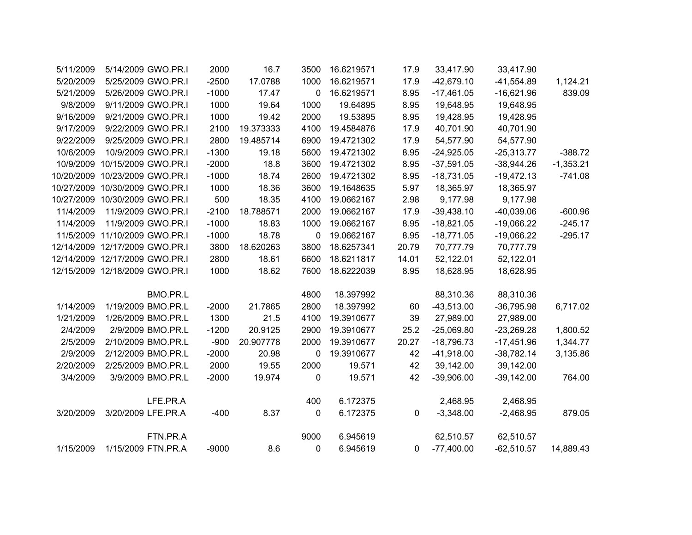|             | 33,417.90    | 33,417.90    | 17.9  | 16.6219571 | 3500        | 16.7      | 2000    | 5/14/2009 GWO.PR.I             | 5/11/2009  |
|-------------|--------------|--------------|-------|------------|-------------|-----------|---------|--------------------------------|------------|
| 1,124.21    | $-41,554.89$ | $-42,679.10$ | 17.9  | 16.6219571 | 1000        | 17.0788   | $-2500$ | 5/25/2009 GWO.PR.I             | 5/20/2009  |
| 839.09      | $-16,621.96$ | $-17,461.05$ | 8.95  | 16.6219571 | 0           | 17.47     | $-1000$ | 5/26/2009 GWO.PR.I             | 5/21/2009  |
|             | 19,648.95    | 19,648.95    | 8.95  | 19.64895   | 1000        | 19.64     | 1000    | 9/11/2009 GWO.PR.I             | 9/8/2009   |
|             | 19,428.95    | 19,428.95    | 8.95  | 19.53895   | 2000        | 19.42     | 1000    | 9/21/2009 GWO.PR.I             | 9/16/2009  |
|             | 40,701.90    | 40,701.90    | 17.9  | 19.4584876 | 4100        | 19.373333 | 2100    | 9/22/2009 GWO.PR.I             | 9/17/2009  |
|             | 54,577.90    | 54,577.90    | 17.9  | 19.4721302 | 6900        | 19.485714 | 2800    | 9/25/2009 GWO.PR.I             | 9/22/2009  |
| $-388.72$   | $-25,313.77$ | $-24,925.05$ | 8.95  | 19.4721302 | 5600        | 19.18     | $-1300$ | 10/9/2009 GWO.PR.I             | 10/6/2009  |
| $-1,353.21$ | $-38,944.26$ | $-37,591.05$ | 8.95  | 19.4721302 | 3600        | 18.8      | $-2000$ | 10/15/2009 GWO.PR.I            | 10/9/2009  |
| $-741.08$   | $-19,472.13$ | $-18,731.05$ | 8.95  | 19.4721302 | 2600        | 18.74     | $-1000$ | 10/23/2009 GWO.PR.I            | 10/20/2009 |
|             | 18,365.97    | 18,365.97    | 5.97  | 19.1648635 | 3600        | 18.36     | 1000    | 10/27/2009 10/30/2009 GWO.PR.I |            |
|             | 9,177.98     | 9,177.98     | 2.98  | 19.0662167 | 4100        | 18.35     | 500     | 10/27/2009 10/30/2009 GWO.PR.I |            |
| $-600.96$   | $-40,039.06$ | $-39,438.10$ | 17.9  | 19.0662167 | 2000        | 18.788571 | $-2100$ | 11/9/2009 GWO.PR.I             | 11/4/2009  |
| $-245.17$   | $-19,066.22$ | $-18,821.05$ | 8.95  | 19.0662167 | 1000        | 18.83     | $-1000$ | 11/9/2009 GWO.PR.I             | 11/4/2009  |
| $-295.17$   | $-19,066.22$ | $-18,771.05$ | 8.95  | 19.0662167 | 0           | 18.78     | $-1000$ | 11/5/2009 11/10/2009 GWO.PR.I  |            |
|             | 70,777.79    | 70,777.79    | 20.79 | 18.6257341 | 3800        | 18.620263 | 3800    | 12/14/2009 12/17/2009 GWO.PR.I |            |
|             | 52,122.01    | 52,122.01    | 14.01 | 18.6211817 | 6600        | 18.61     | 2800    | 12/14/2009 12/17/2009 GWO.PR.I |            |
|             | 18,628.95    | 18,628.95    | 8.95  | 18.6222039 | 7600        | 18.62     | 1000    | 12/15/2009 12/18/2009 GWO.PR.I |            |
|             | 88,310.36    | 88,310.36    |       | 18.397992  | 4800        |           |         | BMO.PR.L                       |            |
| 6,717.02    | $-36,795.98$ | $-43,513.00$ | 60    | 18.397992  | 2800        | 21.7865   | $-2000$ | 1/19/2009 BMO.PR.L             | 1/14/2009  |
|             | 27,989.00    | 27,989.00    | 39    | 19.3910677 | 4100        | 21.5      | 1300    | 1/26/2009 BMO.PR.L             | 1/21/2009  |
| 1,800.52    | $-23,269.28$ | $-25,069.80$ | 25.2  | 19.3910677 | 2900        | 20.9125   | $-1200$ | 2/9/2009 BMO.PR.L              | 2/4/2009   |
| 1,344.77    | $-17,451.96$ | $-18,796.73$ | 20.27 | 19.3910677 | 2000        | 20.907778 | $-900$  | 2/10/2009 BMO.PR.L             | 2/5/2009   |
| 3,135.86    | $-38,782.14$ | $-41,918.00$ | 42    | 19.3910677 | $\mathbf 0$ | 20.98     | $-2000$ | 2/12/2009 BMO.PR.L             | 2/9/2009   |
|             | 39,142.00    | 39,142.00    | 42    | 19.571     | 2000        | 19.55     | 2000    | 2/25/2009 BMO.PR.L             | 2/20/2009  |
| 764.00      | $-39,142.00$ | $-39,906.00$ | 42    | 19.571     | 0           | 19.974    | $-2000$ | 3/9/2009 BMO.PR.L              | 3/4/2009   |
|             | 2,468.95     | 2,468.95     |       | 6.172375   | 400         |           |         | LFE.PR.A                       |            |
| 879.05      | $-2,468.95$  | $-3,348.00$  | 0     | 6.172375   | 0           | 8.37      | $-400$  | 3/20/2009 LFE.PR.A             | 3/20/2009  |
|             |              |              |       |            |             |           |         |                                |            |
|             | 62,510.57    | 62,510.57    |       | 6.945619   | 9000        |           |         | FTN.PR.A                       |            |
| 14,889.43   | $-62,510.57$ | $-77,400.00$ | 0     | 6.945619   | 0           | 8.6       | $-9000$ | 1/15/2009 FTN.PR.A             | 1/15/2009  |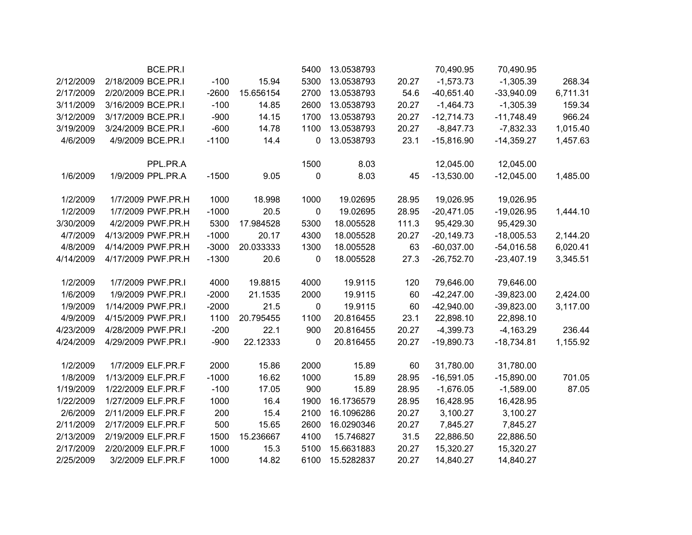|           | BCE.PR.I           |         |           | 5400      | 13.0538793 |       | 70,490.95    | 70,490.95    |          |
|-----------|--------------------|---------|-----------|-----------|------------|-------|--------------|--------------|----------|
| 2/12/2009 | 2/18/2009 BCE.PR.I | $-100$  | 15.94     | 5300      | 13.0538793 | 20.27 | $-1,573.73$  | $-1,305.39$  | 268.34   |
| 2/17/2009 | 2/20/2009 BCE.PR.I | $-2600$ | 15.656154 | 2700      | 13.0538793 | 54.6  | $-40,651.40$ | $-33,940.09$ | 6,711.31 |
| 3/11/2009 | 3/16/2009 BCE.PR.I | $-100$  | 14.85     | 2600      | 13.0538793 | 20.27 | $-1,464.73$  | $-1,305.39$  | 159.34   |
| 3/12/2009 | 3/17/2009 BCE.PR.I | $-900$  | 14.15     | 1700      | 13.0538793 | 20.27 | $-12,714.73$ | $-11,748.49$ | 966.24   |
| 3/19/2009 | 3/24/2009 BCE.PR.I | $-600$  | 14.78     | 1100      | 13.0538793 | 20.27 | $-8,847.73$  | $-7,832.33$  | 1,015.40 |
| 4/6/2009  | 4/9/2009 BCE.PR.I  | $-1100$ | 14.4      | 0         | 13.0538793 | 23.1  | $-15,816.90$ | $-14,359.27$ | 1,457.63 |
|           | PPL.PR.A           |         |           | 1500      | 8.03       |       | 12,045.00    | 12,045.00    |          |
| 1/6/2009  | 1/9/2009 PPL.PR.A  | $-1500$ | 9.05      | 0         | 8.03       | 45    | $-13,530.00$ | $-12,045.00$ | 1,485.00 |
| 1/2/2009  | 1/7/2009 PWF.PR.H  | 1000    | 18.998    | 1000      | 19.02695   | 28.95 | 19,026.95    | 19,026.95    |          |
| 1/2/2009  | 1/7/2009 PWF.PR.H  | $-1000$ | 20.5      | $\pmb{0}$ | 19.02695   | 28.95 | $-20,471.05$ | $-19,026.95$ | 1,444.10 |
| 3/30/2009 | 4/2/2009 PWF.PR.H  | 5300    | 17.984528 | 5300      | 18.005528  | 111.3 | 95,429.30    | 95,429.30    |          |
| 4/7/2009  | 4/13/2009 PWF.PR.H | $-1000$ | 20.17     | 4300      | 18.005528  | 20.27 | $-20,149.73$ | $-18,005.53$ | 2,144.20 |
| 4/8/2009  | 4/14/2009 PWF.PR.H | $-3000$ | 20.033333 | 1300      | 18.005528  | 63    | $-60,037.00$ | $-54,016.58$ | 6,020.41 |
| 4/14/2009 | 4/17/2009 PWF.PR.H | $-1300$ | 20.6      | 0         | 18.005528  | 27.3  | $-26,752.70$ | $-23,407.19$ | 3,345.51 |
| 1/2/2009  | 1/7/2009 PWF.PR.I  | 4000    | 19.8815   | 4000      | 19.9115    | 120   | 79,646.00    | 79,646.00    |          |
| 1/6/2009  | 1/9/2009 PWF.PR.I  | $-2000$ | 21.1535   | 2000      | 19.9115    | 60    | $-42,247.00$ | $-39,823.00$ | 2,424.00 |
| 1/9/2009  | 1/14/2009 PWF.PR.I | $-2000$ | 21.5      | $\pmb{0}$ | 19.9115    | 60    | $-42,940.00$ | $-39,823.00$ | 3,117.00 |
| 4/9/2009  | 4/15/2009 PWF.PR.I | 1100    | 20.795455 | 1100      | 20.816455  | 23.1  | 22,898.10    | 22,898.10    |          |
| 4/23/2009 | 4/28/2009 PWF.PR.I | $-200$  | 22.1      | 900       | 20.816455  | 20.27 | $-4,399.73$  | $-4,163.29$  | 236.44   |
| 4/24/2009 | 4/29/2009 PWF.PR.I | $-900$  | 22.12333  | 0         | 20.816455  | 20.27 | $-19,890.73$ | $-18,734.81$ | 1,155.92 |
| 1/2/2009  | 1/7/2009 ELF.PR.F  | 2000    | 15.86     | 2000      | 15.89      | 60    | 31,780.00    | 31,780.00    |          |
| 1/8/2009  | 1/13/2009 ELF.PR.F | $-1000$ | 16.62     | 1000      | 15.89      | 28.95 | $-16,591.05$ | $-15,890.00$ | 701.05   |
| 1/19/2009 | 1/22/2009 ELF.PR.F | $-100$  | 17.05     | 900       | 15.89      | 28.95 | $-1,676.05$  | $-1,589.00$  | 87.05    |
| 1/22/2009 | 1/27/2009 ELF.PR.F | 1000    | 16.4      | 1900      | 16.1736579 | 28.95 | 16,428.95    | 16,428.95    |          |
| 2/6/2009  | 2/11/2009 ELF.PR.F | 200     | 15.4      | 2100      | 16.1096286 | 20.27 | 3,100.27     | 3,100.27     |          |
| 2/11/2009 | 2/17/2009 ELF.PR.F | 500     | 15.65     | 2600      | 16.0290346 | 20.27 | 7,845.27     | 7,845.27     |          |
| 2/13/2009 | 2/19/2009 ELF.PR.F | 1500    | 15.236667 | 4100      | 15.746827  | 31.5  | 22,886.50    | 22,886.50    |          |
| 2/17/2009 | 2/20/2009 ELF.PR.F | 1000    | 15.3      | 5100      | 15.6631883 | 20.27 | 15,320.27    | 15,320.27    |          |
| 2/25/2009 | 3/2/2009 ELF.PR.F  | 1000    | 14.82     | 6100      | 15.5282837 | 20.27 | 14,840.27    | 14,840.27    |          |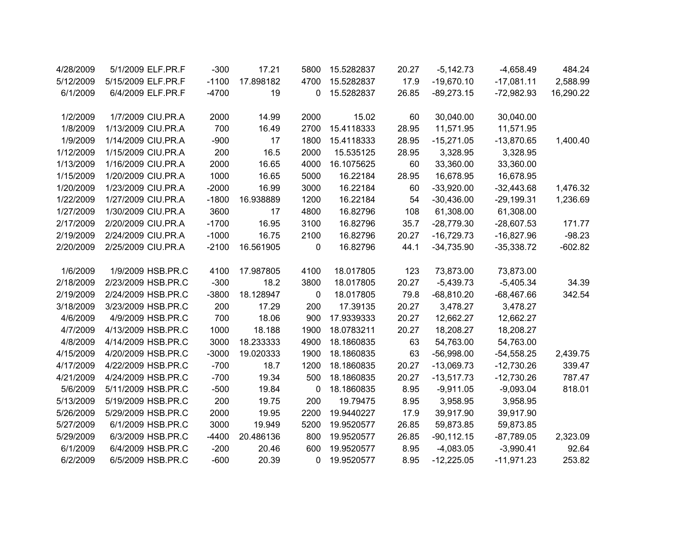| 4/28/2009 | 5/1/2009 ELF.PR.F  | $-300$  | 17.21     | 5800             | 15.5282837 | 20.27 | $-5,142.73$   | $-4,658.49$  | 484.24    |
|-----------|--------------------|---------|-----------|------------------|------------|-------|---------------|--------------|-----------|
| 5/12/2009 | 5/15/2009 ELF.PR.F | $-1100$ | 17.898182 | 4700             | 15.5282837 | 17.9  | $-19,670.10$  | $-17,081.11$ | 2,588.99  |
| 6/1/2009  | 6/4/2009 ELF.PR.F  | $-4700$ | 19        | 0                | 15.5282837 | 26.85 | $-89,273.15$  | $-72,982.93$ | 16,290.22 |
|           |                    |         |           |                  |            |       |               |              |           |
| 1/2/2009  | 1/7/2009 CIU.PR.A  | 2000    | 14.99     | 2000             | 15.02      | 60    | 30,040.00     | 30,040.00    |           |
| 1/8/2009  | 1/13/2009 CIU.PR.A | 700     | 16.49     | 2700             | 15.4118333 | 28.95 | 11,571.95     | 11,571.95    |           |
| 1/9/2009  | 1/14/2009 CIU.PR.A | $-900$  | 17        | 1800             | 15.4118333 | 28.95 | $-15,271.05$  | $-13,870.65$ | 1,400.40  |
| 1/12/2009 | 1/15/2009 CIU.PR.A | 200     | 16.5      | 2000             | 15.535125  | 28.95 | 3,328.95      | 3,328.95     |           |
| 1/13/2009 | 1/16/2009 CIU.PR.A | 2000    | 16.65     | 4000             | 16.1075625 | 60    | 33,360.00     | 33,360.00    |           |
| 1/15/2009 | 1/20/2009 CIU.PR.A | 1000    | 16.65     | 5000             | 16.22184   | 28.95 | 16,678.95     | 16,678.95    |           |
| 1/20/2009 | 1/23/2009 CIU.PR.A | $-2000$ | 16.99     | 3000             | 16.22184   | 60    | $-33,920.00$  | $-32,443.68$ | 1,476.32  |
| 1/22/2009 | 1/27/2009 CIU.PR.A | $-1800$ | 16.938889 | 1200             | 16.22184   | 54    | $-30,436.00$  | $-29,199.31$ | 1,236.69  |
| 1/27/2009 | 1/30/2009 CIU.PR.A | 3600    | 17        | 4800             | 16.82796   | 108   | 61,308.00     | 61,308.00    |           |
| 2/17/2009 | 2/20/2009 CIU.PR.A | $-1700$ | 16.95     | 3100             | 16.82796   | 35.7  | $-28,779.30$  | $-28,607.53$ | 171.77    |
| 2/19/2009 | 2/24/2009 CIU.PR.A | $-1000$ | 16.75     | 2100             | 16.82796   | 20.27 | $-16,729.73$  | $-16,827.96$ | $-98.23$  |
| 2/20/2009 | 2/25/2009 CIU.PR.A | $-2100$ | 16.561905 | 0                | 16.82796   | 44.1  | $-34,735.90$  | $-35,338.72$ | $-602.82$ |
| 1/6/2009  | 1/9/2009 HSB.PR.C  | 4100    | 17.987805 | 4100             | 18.017805  | 123   | 73,873.00     | 73,873.00    |           |
|           | 2/23/2009 HSB.PR.C |         | 18.2      |                  |            |       |               |              |           |
| 2/18/2009 |                    | $-300$  |           | 3800             | 18.017805  | 20.27 | $-5,439.73$   | $-5,405.34$  | 34.39     |
| 2/19/2009 | 2/24/2009 HSB.PR.C | $-3800$ | 18.128947 | $\mathbf 0$      | 18.017805  | 79.8  | $-68,810.20$  | $-68,467.66$ | 342.54    |
| 3/18/2009 | 3/23/2009 HSB.PR.C | 200     | 17.29     | 200              | 17.39135   | 20.27 | 3,478.27      | 3,478.27     |           |
| 4/6/2009  | 4/9/2009 HSB.PR.C  | 700     | 18.06     | 900              | 17.9339333 | 20.27 | 12,662.27     | 12,662.27    |           |
| 4/7/2009  | 4/13/2009 HSB.PR.C | 1000    | 18.188    | 1900             | 18.0783211 | 20.27 | 18,208.27     | 18,208.27    |           |
| 4/8/2009  | 4/14/2009 HSB.PR.C | 3000    | 18.233333 | 4900             | 18.1860835 | 63    | 54,763.00     | 54,763.00    |           |
| 4/15/2009 | 4/20/2009 HSB.PR.C | $-3000$ | 19.020333 | 1900             | 18.1860835 | 63    | $-56,998.00$  | $-54,558.25$ | 2,439.75  |
| 4/17/2009 | 4/22/2009 HSB.PR.C | $-700$  | 18.7      | 1200             | 18.1860835 | 20.27 | $-13,069.73$  | $-12,730.26$ | 339.47    |
| 4/21/2009 | 4/24/2009 HSB.PR.C | $-700$  | 19.34     | 500              | 18.1860835 | 20.27 | $-13,517.73$  | $-12,730.26$ | 787.47    |
| 5/6/2009  | 5/11/2009 HSB.PR.C | $-500$  | 19.84     | $\boldsymbol{0}$ | 18.1860835 | 8.95  | $-9,911.05$   | $-9,093.04$  | 818.01    |
| 5/13/2009 | 5/19/2009 HSB.PR.C | 200     | 19.75     | 200              | 19.79475   | 8.95  | 3,958.95      | 3,958.95     |           |
| 5/26/2009 | 5/29/2009 HSB.PR.C | 2000    | 19.95     | 2200             | 19.9440227 | 17.9  | 39,917.90     | 39,917.90    |           |
| 5/27/2009 | 6/1/2009 HSB.PR.C  | 3000    | 19.949    | 5200             | 19.9520577 | 26.85 | 59,873.85     | 59,873.85    |           |
| 5/29/2009 | 6/3/2009 HSB.PR.C  | $-4400$ | 20.486136 | 800              | 19.9520577 | 26.85 | $-90, 112.15$ | $-87,789.05$ | 2,323.09  |
| 6/1/2009  | 6/4/2009 HSB.PR.C  | $-200$  | 20.46     | 600              | 19.9520577 | 8.95  | $-4,083.05$   | $-3,990.41$  | 92.64     |
| 6/2/2009  | 6/5/2009 HSB.PR.C  | $-600$  | 20.39     | 0                | 19.9520577 | 8.95  | $-12,225.05$  | $-11,971.23$ | 253.82    |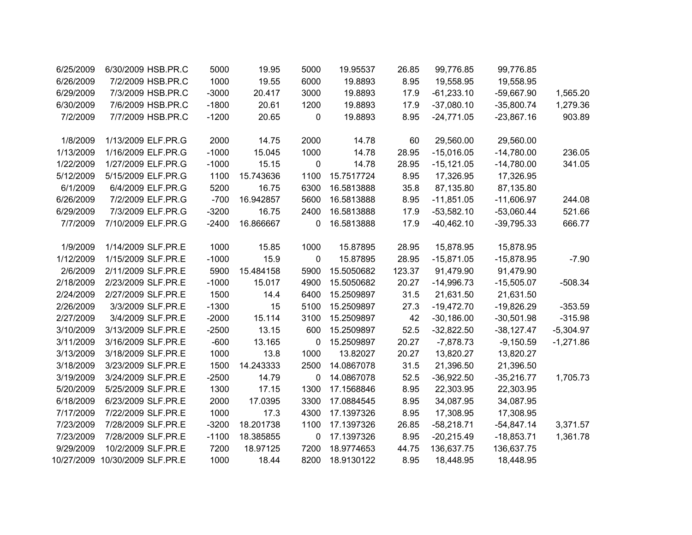| 6/25/2009  | 6/30/2009 HSB.PR.C  | 5000    | 19.95     | 5000        | 19.95537   | 26.85  | 99,776.85    | 99,776.85    |             |
|------------|---------------------|---------|-----------|-------------|------------|--------|--------------|--------------|-------------|
| 6/26/2009  | 7/2/2009 HSB.PR.C   | 1000    | 19.55     | 6000        | 19.8893    | 8.95   | 19,558.95    | 19,558.95    |             |
| 6/29/2009  | 7/3/2009 HSB.PR.C   | $-3000$ | 20.417    | 3000        | 19.8893    | 17.9   | $-61,233.10$ | $-59,667.90$ | 1,565.20    |
| 6/30/2009  | 7/6/2009 HSB.PR.C   | $-1800$ | 20.61     | 1200        | 19.8893    | 17.9   | $-37,080.10$ | $-35,800.74$ | 1,279.36    |
| 7/2/2009   | 7/7/2009 HSB.PR.C   | $-1200$ | 20.65     | 0           | 19.8893    | 8.95   | $-24,771.05$ | $-23,867.16$ | 903.89      |
|            |                     |         |           |             |            |        |              |              |             |
| 1/8/2009   | 1/13/2009 ELF.PR.G  | 2000    | 14.75     | 2000        | 14.78      | 60     | 29,560.00    | 29,560.00    |             |
| 1/13/2009  | 1/16/2009 ELF.PR.G  | $-1000$ | 15.045    | 1000        | 14.78      | 28.95  | $-15,016.05$ | $-14,780.00$ | 236.05      |
| 1/22/2009  | 1/27/2009 ELF.PR.G  | $-1000$ | 15.15     | 0           | 14.78      | 28.95  | $-15,121.05$ | $-14,780.00$ | 341.05      |
| 5/12/2009  | 5/15/2009 ELF.PR.G  | 1100    | 15.743636 | 1100        | 15.7517724 | 8.95   | 17,326.95    | 17,326.95    |             |
| 6/1/2009   | 6/4/2009 ELF.PR.G   | 5200    | 16.75     | 6300        | 16.5813888 | 35.8   | 87,135.80    | 87,135.80    |             |
| 6/26/2009  | 7/2/2009 ELF.PR.G   | $-700$  | 16.942857 | 5600        | 16.5813888 | 8.95   | $-11,851.05$ | $-11,606.97$ | 244.08      |
| 6/29/2009  | 7/3/2009 ELF.PR.G   | $-3200$ | 16.75     | 2400        | 16.5813888 | 17.9   | $-53,582.10$ | $-53,060.44$ | 521.66      |
| 7/7/2009   | 7/10/2009 ELF.PR.G  | $-2400$ | 16.866667 | 0           | 16.5813888 | 17.9   | $-40,462.10$ | $-39,795.33$ | 666.77      |
|            |                     |         |           |             |            |        |              |              |             |
| 1/9/2009   | 1/14/2009 SLF.PR.E  | 1000    | 15.85     | 1000        | 15.87895   | 28.95  | 15,878.95    | 15,878.95    |             |
| 1/12/2009  | 1/15/2009 SLF.PR.E  | $-1000$ | 15.9      | 0           | 15.87895   | 28.95  | $-15,871.05$ | $-15,878.95$ | $-7.90$     |
| 2/6/2009   | 2/11/2009 SLF.PR.E  | 5900    | 15.484158 | 5900        | 15.5050682 | 123.37 | 91,479.90    | 91,479.90    |             |
| 2/18/2009  | 2/23/2009 SLF.PR.E  | $-1000$ | 15.017    | 4900        | 15.5050682 | 20.27  | $-14,996.73$ | $-15,505.07$ | $-508.34$   |
| 2/24/2009  | 2/27/2009 SLF.PR.E  | 1500    | 14.4      | 6400        | 15.2509897 | 31.5   | 21,631.50    | 21,631.50    |             |
| 2/26/2009  | 3/3/2009 SLF.PR.E   | $-1300$ | 15        | 5100        | 15.2509897 | 27.3   | $-19,472.70$ | $-19,826.29$ | $-353.59$   |
| 2/27/2009  | 3/4/2009 SLF.PR.E   | $-2000$ | 15.114    | 3100        | 15.2509897 | 42     | $-30,186.00$ | $-30,501.98$ | $-315.98$   |
| 3/10/2009  | 3/13/2009 SLF.PR.E  | $-2500$ | 13.15     | 600         | 15.2509897 | 52.5   | $-32,822.50$ | $-38,127.47$ | $-5,304.97$ |
| 3/11/2009  | 3/16/2009 SLF.PR.E  | $-600$  | 13.165    | $\mathbf 0$ | 15.2509897 | 20.27  | $-7,878.73$  | $-9,150.59$  | $-1,271.86$ |
| 3/13/2009  | 3/18/2009 SLF.PR.E  | 1000    | 13.8      | 1000        | 13.82027   | 20.27  | 13,820.27    | 13,820.27    |             |
| 3/18/2009  | 3/23/2009 SLF.PR.E  | 1500    | 14.243333 | 2500        | 14.0867078 | 31.5   | 21,396.50    | 21,396.50    |             |
| 3/19/2009  | 3/24/2009 SLF.PR.E  | $-2500$ | 14.79     | 0           | 14.0867078 | 52.5   | $-36,922.50$ | $-35,216.77$ | 1,705.73    |
| 5/20/2009  | 5/25/2009 SLF.PR.E  | 1300    | 17.15     | 1300        | 17.1568846 | 8.95   | 22,303.95    | 22,303.95    |             |
| 6/18/2009  | 6/23/2009 SLF.PR.E  | 2000    | 17.0395   | 3300        | 17.0884545 | 8.95   | 34,087.95    | 34,087.95    |             |
| 7/17/2009  | 7/22/2009 SLF.PR.E  | 1000    | 17.3      | 4300        | 17.1397326 | 8.95   | 17,308.95    | 17,308.95    |             |
| 7/23/2009  | 7/28/2009 SLF.PR.E  | $-3200$ | 18.201738 | 1100        | 17.1397326 | 26.85  | $-58,218.71$ | $-54,847.14$ | 3,371.57    |
| 7/23/2009  | 7/28/2009 SLF.PR.E  | $-1100$ | 18.385855 | 0           | 17.1397326 | 8.95   | $-20,215.49$ | $-18,853.71$ | 1,361.78    |
| 9/29/2009  | 10/2/2009 SLF.PR.E  | 7200    | 18.97125  | 7200        | 18.9774653 | 44.75  | 136,637.75   | 136,637.75   |             |
| 10/27/2009 | 10/30/2009 SLF.PR.E | 1000    | 18.44     | 8200        | 18.9130122 | 8.95   | 18,448.95    | 18,448.95    |             |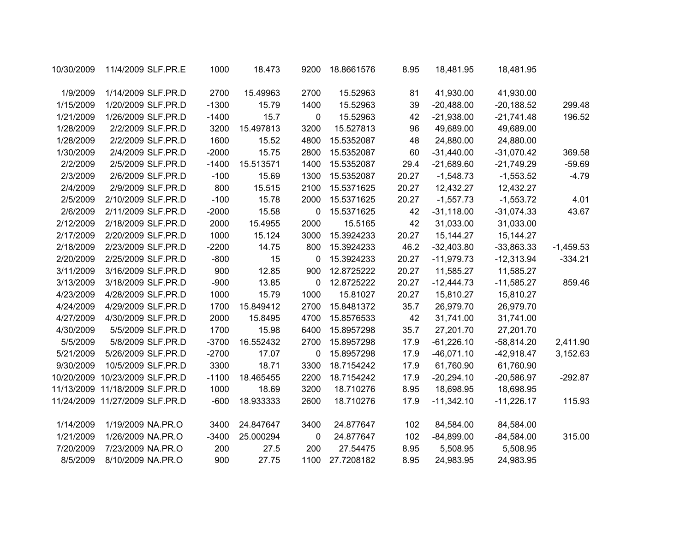|             | 18,481.95    | 18,481.95    | 8.95  | 18.8661576 | 9200 | 18.473    | 1000    | 11/4/2009 SLF.PR.E             | 10/30/2009 |
|-------------|--------------|--------------|-------|------------|------|-----------|---------|--------------------------------|------------|
|             | 41,930.00    | 41,930.00    | 81    | 15.52963   | 2700 | 15.49963  | 2700    | 1/14/2009 SLF.PR.D             | 1/9/2009   |
| 299.48      | $-20,188.52$ | $-20,488.00$ | 39    | 15.52963   | 1400 | 15.79     | $-1300$ | 1/20/2009 SLF.PR.D             | 1/15/2009  |
| 196.52      | $-21,741.48$ | $-21,938.00$ | 42    | 15.52963   | 0    | 15.7      | $-1400$ | 1/26/2009 SLF.PR.D             | 1/21/2009  |
|             | 49,689.00    | 49,689.00    | 96    | 15.527813  | 3200 | 15.497813 | 3200    | 2/2/2009 SLF.PR.D              | 1/28/2009  |
|             | 24,880.00    | 24,880.00    | 48    | 15.5352087 | 4800 | 15.52     | 1600    | 2/2/2009 SLF.PR.D              | 1/28/2009  |
| 369.58      | $-31,070.42$ | $-31,440.00$ | 60    | 15.5352087 | 2800 | 15.75     | $-2000$ | 2/4/2009 SLF.PR.D              | 1/30/2009  |
| $-59.69$    | $-21,749.29$ | $-21,689.60$ | 29.4  | 15.5352087 | 1400 | 15.513571 | $-1400$ | 2/5/2009 SLF.PR.D              | 2/2/2009   |
| $-4.79$     | $-1,553.52$  | $-1,548.73$  | 20.27 | 15.5352087 | 1300 | 15.69     | $-100$  | 2/6/2009 SLF.PR.D              | 2/3/2009   |
|             | 12,432.27    | 12,432.27    | 20.27 | 15.5371625 | 2100 | 15.515    | 800     | 2/9/2009 SLF.PR.D              | 2/4/2009   |
| 4.01        | $-1,553.72$  | $-1,557.73$  | 20.27 | 15.5371625 | 2000 | 15.78     | $-100$  | 2/10/2009 SLF.PR.D             | 2/5/2009   |
| 43.67       | $-31,074.33$ | $-31,118.00$ | 42    | 15.5371625 | 0    | 15.58     | $-2000$ | 2/11/2009 SLF.PR.D             | 2/6/2009   |
|             | 31,033.00    | 31,033.00    | 42    | 15.5165    | 2000 | 15.4955   | 2000    | 2/18/2009 SLF.PR.D             | 2/12/2009  |
|             | 15, 144. 27  | 15,144.27    | 20.27 | 15.3924233 | 3000 | 15.124    | 1000    | 2/20/2009 SLF.PR.D             | 2/17/2009  |
| $-1,459.53$ | $-33,863.33$ | $-32,403.80$ | 46.2  | 15.3924233 | 800  | 14.75     | $-2200$ | 2/23/2009 SLF.PR.D             | 2/18/2009  |
| $-334.21$   | $-12,313.94$ | $-11,979.73$ | 20.27 | 15.3924233 | 0    | 15        | $-800$  | 2/25/2009 SLF.PR.D             | 2/20/2009  |
|             | 11,585.27    | 11,585.27    | 20.27 | 12.8725222 | 900  | 12.85     | 900     | 3/16/2009 SLF.PR.D             | 3/11/2009  |
| 859.46      | $-11,585.27$ | $-12,444.73$ | 20.27 | 12.8725222 | 0    | 13.85     | $-900$  | 3/18/2009 SLF.PR.D             | 3/13/2009  |
|             | 15,810.27    | 15,810.27    | 20.27 | 15.81027   | 1000 | 15.79     | 1000    | 4/28/2009 SLF.PR.D             | 4/23/2009  |
|             | 26,979.70    | 26,979.70    | 35.7  | 15.8481372 | 2700 | 15.849412 | 1700    | 4/29/2009 SLF.PR.D             | 4/24/2009  |
|             | 31,741.00    | 31,741.00    | 42    | 15.8576533 | 4700 | 15.8495   | 2000    | 4/30/2009 SLF.PR.D             | 4/27/2009  |
|             | 27,201.70    | 27,201.70    | 35.7  | 15.8957298 | 6400 | 15.98     | 1700    | 5/5/2009 SLF.PR.D              | 4/30/2009  |
| 2,411.90    | $-58,814.20$ | $-61,226.10$ | 17.9  | 15.8957298 | 2700 | 16.552432 | $-3700$ | 5/8/2009 SLF.PR.D              | 5/5/2009   |
| 3,152.63    | $-42,918.47$ | $-46,071.10$ | 17.9  | 15.8957298 | 0    | 17.07     | $-2700$ | 5/26/2009 SLF.PR.D             | 5/21/2009  |
|             | 61,760.90    | 61,760.90    | 17.9  | 18.7154242 | 3300 | 18.71     | 3300    | 10/5/2009 SLF.PR.D             | 9/30/2009  |
| $-292.87$   | $-20,586.97$ | $-20,294.10$ | 17.9  | 18.7154242 | 2200 | 18.465455 | $-1100$ | 10/23/2009 SLF.PR.D            | 10/20/2009 |
|             | 18,698.95    | 18,698.95    | 8.95  | 18.710276  | 3200 | 18.69     | 1000    | 11/18/2009 SLF.PR.D            | 11/13/2009 |
| 115.93      | $-11,226.17$ | $-11,342.10$ | 17.9  | 18.710276  | 2600 | 18.933333 | $-600$  | 11/24/2009 11/27/2009 SLF.PR.D |            |
|             | 84,584.00    | 84,584.00    | 102   | 24.877647  | 3400 | 24.847647 | 3400    | 1/19/2009 NA.PR.O              | 1/14/2009  |
| 315.00      | $-84,584.00$ | $-84,899.00$ | 102   | 24.877647  | 0    | 25.000294 | $-3400$ | 1/26/2009 NA.PR.O              | 1/21/2009  |
|             | 5,508.95     | 5,508.95     | 8.95  | 27.54475   | 200  | 27.5      | 200     | 7/23/2009 NA.PR.O              | 7/20/2009  |
|             | 24,983.95    | 24,983.95    | 8.95  | 27.7208182 | 1100 | 27.75     | 900     | 8/10/2009 NA.PR.O              | 8/5/2009   |
|             |              |              |       |            |      |           |         |                                |            |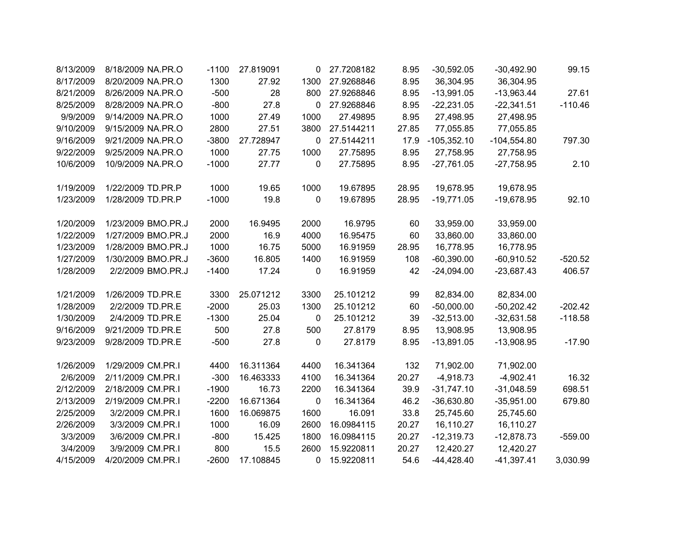| 8/13/2009 | 8/18/2009 NA.PR.O  | $-1100$ | 27.819091 | 0            | 27.7208182 | 8.95  | $-30,592.05$  | $-30,492.90$  | 99.15     |
|-----------|--------------------|---------|-----------|--------------|------------|-------|---------------|---------------|-----------|
| 8/17/2009 | 8/20/2009 NA.PR.O  | 1300    | 27.92     | 1300         | 27.9268846 | 8.95  | 36,304.95     | 36,304.95     |           |
| 8/21/2009 | 8/26/2009 NA.PR.O  | $-500$  | 28        | 800          | 27.9268846 | 8.95  | $-13,991.05$  | $-13,963.44$  | 27.61     |
| 8/25/2009 | 8/28/2009 NA.PR.O  | $-800$  | 27.8      | 0            | 27.9268846 | 8.95  | $-22,231.05$  | $-22,341.51$  | $-110.46$ |
| 9/9/2009  | 9/14/2009 NA.PR.O  | 1000    | 27.49     | 1000         | 27.49895   | 8.95  | 27,498.95     | 27,498.95     |           |
| 9/10/2009 | 9/15/2009 NA.PR.O  | 2800    | 27.51     | 3800         | 27.5144211 | 27.85 | 77,055.85     | 77,055.85     |           |
| 9/16/2009 | 9/21/2009 NA.PR.O  | $-3800$ | 27.728947 | 0            | 27.5144211 | 17.9  | $-105,352.10$ | $-104,554.80$ | 797.30    |
| 9/22/2009 | 9/25/2009 NA.PR.O  | 1000    | 27.75     | 1000         | 27.75895   | 8.95  | 27,758.95     | 27,758.95     |           |
| 10/6/2009 | 10/9/2009 NA.PR.O  | $-1000$ | 27.77     | 0            | 27.75895   | 8.95  | $-27,761.05$  | $-27,758.95$  | 2.10      |
| 1/19/2009 | 1/22/2009 TD.PR.P  | 1000    | 19.65     | 1000         | 19.67895   | 28.95 | 19,678.95     | 19,678.95     |           |
| 1/23/2009 | 1/28/2009 TD.PR.P  | $-1000$ | 19.8      | 0            | 19.67895   | 28.95 | $-19,771.05$  | $-19,678.95$  | 92.10     |
| 1/20/2009 | 1/23/2009 BMO.PR.J | 2000    | 16.9495   | 2000         | 16.9795    | 60    | 33,959.00     | 33,959.00     |           |
| 1/22/2009 | 1/27/2009 BMO.PR.J | 2000    | 16.9      | 4000         | 16.95475   | 60    | 33,860.00     | 33,860.00     |           |
| 1/23/2009 | 1/28/2009 BMO.PR.J | 1000    | 16.75     | 5000         | 16.91959   | 28.95 | 16,778.95     | 16,778.95     |           |
| 1/27/2009 | 1/30/2009 BMO.PR.J | $-3600$ | 16.805    | 1400         | 16.91959   | 108   | $-60,390.00$  | $-60,910.52$  | $-520.52$ |
| 1/28/2009 | 2/2/2009 BMO.PR.J  | $-1400$ | 17.24     | 0            | 16.91959   | 42    | $-24,094.00$  | $-23,687.43$  | 406.57    |
| 1/21/2009 | 1/26/2009 TD.PR.E  | 3300    | 25.071212 | 3300         | 25.101212  | 99    | 82,834.00     | 82,834.00     |           |
| 1/28/2009 | 2/2/2009 TD.PR.E   | $-2000$ | 25.03     | 1300         | 25.101212  | 60    | $-50,000.00$  | $-50,202.42$  | $-202.42$ |
| 1/30/2009 | 2/4/2009 TD.PR.E   | $-1300$ | 25.04     | 0            | 25.101212  | 39    | $-32,513.00$  | $-32,631.58$  | $-118.58$ |
| 9/16/2009 | 9/21/2009 TD.PR.E  | 500     | 27.8      | 500          | 27.8179    | 8.95  | 13,908.95     | 13,908.95     |           |
| 9/23/2009 | 9/28/2009 TD.PR.E  | $-500$  | 27.8      | 0            | 27.8179    | 8.95  | $-13,891.05$  | $-13,908.95$  | $-17.90$  |
| 1/26/2009 | 1/29/2009 CM.PR.I  | 4400    | 16.311364 | 4400         | 16.341364  | 132   | 71,902.00     | 71,902.00     |           |
| 2/6/2009  | 2/11/2009 CM.PR.I  | $-300$  | 16.463333 | 4100         | 16.341364  | 20.27 | $-4,918.73$   | $-4,902.41$   | 16.32     |
| 2/12/2009 | 2/18/2009 CM.PR.I  | $-1900$ | 16.73     | 2200         | 16.341364  | 39.9  | $-31,747.10$  | $-31,048.59$  | 698.51    |
| 2/13/2009 | 2/19/2009 CM.PR.I  | $-2200$ | 16.671364 | 0            | 16.341364  | 46.2  | $-36,630.80$  | $-35,951.00$  | 679.80    |
| 2/25/2009 | 3/2/2009 CM.PR.I   | 1600    | 16.069875 | 1600         | 16.091     | 33.8  | 25,745.60     | 25,745.60     |           |
| 2/26/2009 | 3/3/2009 CM.PR.I   | 1000    | 16.09     | 2600         | 16.0984115 | 20.27 | 16,110.27     | 16,110.27     |           |
| 3/3/2009  | 3/6/2009 CM.PR.I   | $-800$  | 15.425    | 1800         | 16.0984115 | 20.27 | $-12,319.73$  | $-12,878.73$  | $-559.00$ |
| 3/4/2009  | 3/9/2009 CM.PR.I   | 800     | 15.5      | 2600         | 15.9220811 | 20.27 | 12,420.27     | 12,420.27     |           |
| 4/15/2009 | 4/20/2009 CM.PR.I  | $-2600$ | 17.108845 | $\mathbf{0}$ | 15.9220811 | 54.6  | $-44,428.40$  | $-41,397.41$  | 3,030.99  |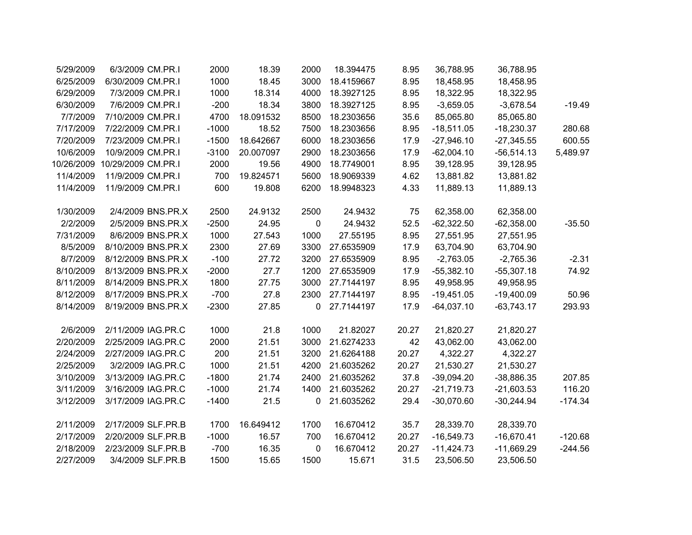| 5/29/2009  | 6/3/2009 CM.PR.I   | 2000    | 18.39     | 2000        | 18.394475  | 8.95  | 36,788.95    | 36,788.95    |           |
|------------|--------------------|---------|-----------|-------------|------------|-------|--------------|--------------|-----------|
| 6/25/2009  | 6/30/2009 CM.PR.I  | 1000    | 18.45     | 3000        | 18.4159667 | 8.95  | 18,458.95    | 18,458.95    |           |
| 6/29/2009  | 7/3/2009 CM.PR.I   | 1000    | 18.314    | 4000        | 18.3927125 | 8.95  | 18,322.95    | 18,322.95    |           |
| 6/30/2009  | 7/6/2009 CM.PR.I   | $-200$  | 18.34     | 3800        | 18.3927125 | 8.95  | $-3,659.05$  | $-3,678.54$  | $-19.49$  |
| 7/7/2009   | 7/10/2009 CM.PR.I  | 4700    | 18.091532 | 8500        | 18.2303656 | 35.6  | 85,065.80    | 85,065.80    |           |
| 7/17/2009  | 7/22/2009 CM.PR.I  | $-1000$ | 18.52     | 7500        | 18.2303656 | 8.95  | $-18,511.05$ | $-18,230.37$ | 280.68    |
| 7/20/2009  | 7/23/2009 CM.PR.I  | $-1500$ | 18.642667 | 6000        | 18.2303656 | 17.9  | $-27,946.10$ | $-27,345.55$ | 600.55    |
| 10/6/2009  | 10/9/2009 CM.PR.I  | $-3100$ | 20.007097 | 2900        | 18.2303656 | 17.9  | $-62,004.10$ | $-56,514.13$ | 5,489.97  |
| 10/26/2009 | 10/29/2009 CM.PR.I | 2000    | 19.56     | 4900        | 18.7749001 | 8.95  | 39,128.95    | 39,128.95    |           |
| 11/4/2009  | 11/9/2009 CM.PR.I  | 700     | 19.824571 | 5600        | 18.9069339 | 4.62  | 13,881.82    | 13,881.82    |           |
| 11/4/2009  | 11/9/2009 CM.PR.I  | 600     | 19.808    | 6200        | 18.9948323 | 4.33  | 11,889.13    | 11,889.13    |           |
|            |                    |         |           |             |            |       |              |              |           |
| 1/30/2009  | 2/4/2009 BNS.PR.X  | 2500    | 24.9132   | 2500        | 24.9432    | 75    | 62,358.00    | 62,358.00    |           |
| 2/2/2009   | 2/5/2009 BNS.PR.X  | $-2500$ | 24.95     | $\pmb{0}$   | 24.9432    | 52.5  | $-62,322.50$ | $-62,358.00$ | $-35.50$  |
| 7/31/2009  | 8/6/2009 BNS.PR.X  | 1000    | 27.543    | 1000        | 27.55195   | 8.95  | 27,551.95    | 27,551.95    |           |
| 8/5/2009   | 8/10/2009 BNS.PR.X | 2300    | 27.69     | 3300        | 27.6535909 | 17.9  | 63,704.90    | 63,704.90    |           |
| 8/7/2009   | 8/12/2009 BNS.PR.X | $-100$  | 27.72     | 3200        | 27.6535909 | 8.95  | $-2,763.05$  | $-2,765.36$  | $-2.31$   |
| 8/10/2009  | 8/13/2009 BNS.PR.X | $-2000$ | 27.7      | 1200        | 27.6535909 | 17.9  | $-55,382.10$ | $-55,307.18$ | 74.92     |
| 8/11/2009  | 8/14/2009 BNS.PR.X | 1800    | 27.75     | 3000        | 27.7144197 | 8.95  | 49,958.95    | 49,958.95    |           |
| 8/12/2009  | 8/17/2009 BNS.PR.X | $-700$  | 27.8      | 2300        | 27.7144197 | 8.95  | $-19,451.05$ | $-19,400.09$ | 50.96     |
| 8/14/2009  | 8/19/2009 BNS.PR.X | $-2300$ | 27.85     | $\mathbf 0$ | 27.7144197 | 17.9  | $-64,037.10$ | $-63,743.17$ | 293.93    |
|            |                    |         |           |             |            |       |              |              |           |
| 2/6/2009   | 2/11/2009 IAG.PR.C | 1000    | 21.8      | 1000        | 21.82027   | 20.27 | 21,820.27    | 21,820.27    |           |
| 2/20/2009  | 2/25/2009 IAG.PR.C | 2000    | 21.51     | 3000        | 21.6274233 | 42    | 43,062.00    | 43,062.00    |           |
| 2/24/2009  | 2/27/2009 IAG.PR.C | 200     | 21.51     | 3200        | 21.6264188 | 20.27 | 4,322.27     | 4,322.27     |           |
| 2/25/2009  | 3/2/2009 IAG.PR.C  | 1000    | 21.51     | 4200        | 21.6035262 | 20.27 | 21,530.27    | 21,530.27    |           |
| 3/10/2009  | 3/13/2009 IAG.PR.C | $-1800$ | 21.74     | 2400        | 21.6035262 | 37.8  | $-39,094.20$ | $-38,886.35$ | 207.85    |
| 3/11/2009  | 3/16/2009 IAG.PR.C | $-1000$ | 21.74     | 1400        | 21.6035262 | 20.27 | $-21,719.73$ | $-21,603.53$ | 116.20    |
| 3/12/2009  | 3/17/2009 IAG.PR.C | $-1400$ | 21.5      | 0           | 21.6035262 | 29.4  | $-30,070.60$ | $-30,244.94$ | $-174.34$ |
|            |                    |         |           |             |            |       |              |              |           |
| 2/11/2009  | 2/17/2009 SLF.PR.B | 1700    | 16.649412 | 1700        | 16.670412  | 35.7  | 28,339.70    | 28,339.70    |           |
| 2/17/2009  | 2/20/2009 SLF.PR.B | $-1000$ | 16.57     | 700         | 16.670412  | 20.27 | $-16,549.73$ | $-16,670.41$ | $-120.68$ |
| 2/18/2009  | 2/23/2009 SLF.PR.B | $-700$  | 16.35     | $\mathbf 0$ | 16.670412  | 20.27 | $-11,424.73$ | $-11,669.29$ | $-244.56$ |
| 2/27/2009  | 3/4/2009 SLF.PR.B  | 1500    | 15.65     | 1500        | 15.671     | 31.5  | 23,506.50    | 23,506.50    |           |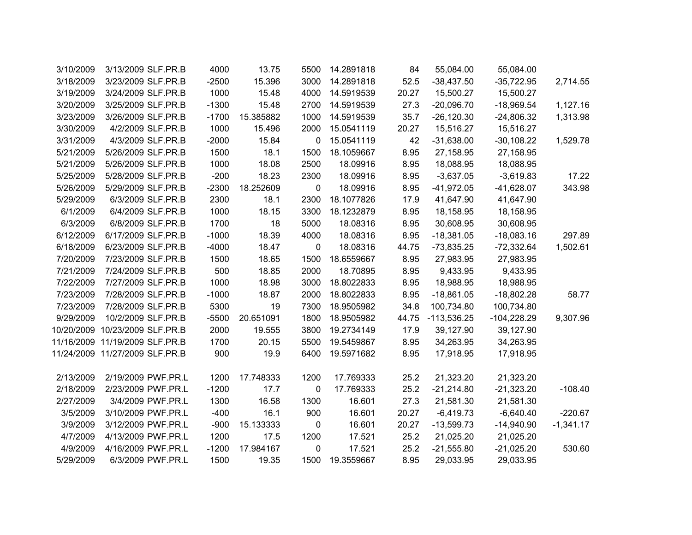|             | 55,084.00     | 55,084.00     | 84    | 14.2891818 | 5500        | 13.75     | 4000    | 3/13/2009 SLF.PR.B             | 3/10/2009 |
|-------------|---------------|---------------|-------|------------|-------------|-----------|---------|--------------------------------|-----------|
| 2,714.55    | $-35,722.95$  | $-38,437.50$  | 52.5  | 14.2891818 | 3000        | 15.396    | $-2500$ | 3/23/2009 SLF.PR.B             | 3/18/2009 |
|             | 15,500.27     | 15,500.27     | 20.27 | 14.5919539 | 4000        | 15.48     | 1000    | 3/24/2009 SLF.PR.B             | 3/19/2009 |
| 1,127.16    | $-18,969.54$  | $-20,096.70$  | 27.3  | 14.5919539 | 2700        | 15.48     | $-1300$ | 3/25/2009 SLF.PR.B             | 3/20/2009 |
| 1,313.98    | $-24,806.32$  | $-26,120.30$  | 35.7  | 14.5919539 | 1000        | 15.385882 | $-1700$ | 3/26/2009 SLF.PR.B             | 3/23/2009 |
|             | 15,516.27     | 15,516.27     | 20.27 | 15.0541119 | 2000        | 15.496    | 1000    | 4/2/2009 SLF.PR.B              | 3/30/2009 |
| 1,529.78    | $-30,108.22$  | $-31,638.00$  | 42    | 15.0541119 | 0           | 15.84     | $-2000$ | 4/3/2009 SLF.PR.B              | 3/31/2009 |
|             | 27,158.95     | 27,158.95     | 8.95  | 18.1059667 | 1500        | 18.1      | 1500    | 5/26/2009 SLF.PR.B             | 5/21/2009 |
|             | 18,088.95     | 18,088.95     | 8.95  | 18.09916   | 2500        | 18.08     | 1000    | 5/26/2009 SLF.PR.B             | 5/21/2009 |
| 17.22       | $-3,619.83$   | $-3,637.05$   | 8.95  | 18.09916   | 2300        | 18.23     | $-200$  | 5/28/2009 SLF.PR.B             | 5/25/2009 |
| 343.98      | $-41,628.07$  | $-41,972.05$  | 8.95  | 18.09916   | 0           | 18.252609 | $-2300$ | 5/29/2009 SLF.PR.B             | 5/26/2009 |
|             | 41,647.90     | 41,647.90     | 17.9  | 18.1077826 | 2300        | 18.1      | 2300    | 6/3/2009 SLF.PR.B              | 5/29/2009 |
|             | 18,158.95     | 18,158.95     | 8.95  | 18.1232879 | 3300        | 18.15     | 1000    | 6/4/2009 SLF.PR.B              | 6/1/2009  |
|             | 30,608.95     | 30,608.95     | 8.95  | 18.08316   | 5000        | 18        | 1700    | 6/8/2009 SLF.PR.B              | 6/3/2009  |
| 297.89      | $-18,083.16$  | $-18,381.05$  | 8.95  | 18.08316   | 4000        | 18.39     | $-1000$ | 6/17/2009 SLF.PR.B             | 6/12/2009 |
| 1,502.61    | $-72,332.64$  | $-73,835.25$  | 44.75 | 18.08316   | 0           | 18.47     | $-4000$ | 6/23/2009 SLF.PR.B             | 6/18/2009 |
|             | 27,983.95     | 27,983.95     | 8.95  | 18.6559667 | 1500        | 18.65     | 1500    | 7/23/2009 SLF.PR.B             | 7/20/2009 |
|             | 9,433.95      | 9,433.95      | 8.95  | 18.70895   | 2000        | 18.85     | 500     | 7/24/2009 SLF.PR.B             | 7/21/2009 |
|             | 18,988.95     | 18,988.95     | 8.95  | 18.8022833 | 3000        | 18.98     | 1000    | 7/27/2009 SLF.PR.B             | 7/22/2009 |
| 58.77       | $-18,802.28$  | $-18,861.05$  | 8.95  | 18.8022833 | 2000        | 18.87     | $-1000$ | 7/28/2009 SLF.PR.B             | 7/23/2009 |
|             | 100,734.80    | 100,734.80    | 34.8  | 18.9505982 | 7300        | 19        | 5300    | 7/28/2009 SLF.PR.B             | 7/23/2009 |
| 9,307.96    | $-104,228.29$ | $-113,536.25$ | 44.75 | 18.9505982 | 1800        | 20.651091 | $-5500$ | 10/2/2009 SLF.PR.B             | 9/29/2009 |
|             | 39,127.90     | 39,127.90     | 17.9  | 19.2734149 | 3800        | 19.555    | 2000    | 10/20/2009 10/23/2009 SLF.PR.B |           |
|             | 34,263.95     | 34,263.95     | 8.95  | 19.5459867 | 5500        | 20.15     | 1700    | 11/16/2009 11/19/2009 SLF.PR.B |           |
|             | 17,918.95     | 17,918.95     | 8.95  | 19.5971682 | 6400        | 19.9      | 900     | 11/24/2009 11/27/2009 SLF.PR.B |           |
|             |               |               |       |            |             |           |         |                                |           |
|             | 21,323.20     | 21,323.20     | 25.2  | 17.769333  | 1200        | 17.748333 | 1200    | 2/19/2009 PWF.PR.L             | 2/13/2009 |
| $-108.40$   | $-21,323.20$  | $-21,214.80$  | 25.2  | 17.769333  | $\mathbf 0$ | 17.7      | $-1200$ | 2/23/2009 PWF.PR.L             | 2/18/2009 |
|             | 21,581.30     | 21,581.30     | 27.3  | 16.601     | 1300        | 16.58     | 1300    | 3/4/2009 PWF.PR.L              | 2/27/2009 |
| $-220.67$   | $-6,640.40$   | $-6,419.73$   | 20.27 | 16.601     | 900         | 16.1      | $-400$  | 3/10/2009 PWF.PR.L             | 3/5/2009  |
| $-1,341.17$ | $-14,940.90$  | $-13,599.73$  | 20.27 | 16.601     | $\mathbf 0$ | 15.133333 | $-900$  | 3/12/2009 PWF.PR.L             | 3/9/2009  |
|             | 21,025.20     | 21,025.20     | 25.2  | 17.521     | 1200        | 17.5      | 1200    | 4/13/2009 PWF.PR.L             | 4/7/2009  |
| 530.60      | $-21,025.20$  | $-21,555.80$  | 25.2  | 17.521     | 0           | 17.984167 | $-1200$ | 4/16/2009 PWF.PR.L             | 4/9/2009  |
|             | 29,033.95     | 29,033.95     | 8.95  | 19.3559667 | 1500        | 19.35     | 1500    | 6/3/2009 PWF.PR.L              | 5/29/2009 |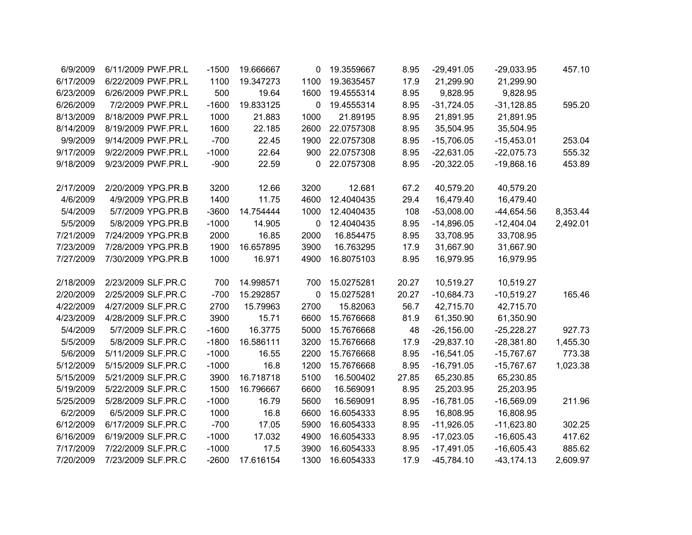| 6/9/2009  | 6/11/2009 PWF.PR.L | $-1500$ | 19.666667 | 0            | 19.3559667 | 8.95  | $-29,491.05$ | $-29,033.95$  | 457.10   |
|-----------|--------------------|---------|-----------|--------------|------------|-------|--------------|---------------|----------|
| 6/17/2009 | 6/22/2009 PWF.PR.L | 1100    | 19.347273 | 1100         | 19.3635457 | 17.9  | 21,299.90    | 21,299.90     |          |
| 6/23/2009 | 6/26/2009 PWF.PR.L | 500     | 19.64     | 1600         | 19.4555314 | 8.95  | 9,828.95     | 9,828.95      |          |
| 6/26/2009 | 7/2/2009 PWF.PR.L  | $-1600$ | 19.833125 | 0            | 19.4555314 | 8.95  | $-31,724.05$ | $-31,128.85$  | 595.20   |
| 8/13/2009 | 8/18/2009 PWF.PR.L | 1000    | 21.883    | 1000         | 21.89195   | 8.95  | 21,891.95    | 21,891.95     |          |
| 8/14/2009 | 8/19/2009 PWF.PR.L | 1600    | 22.185    | 2600         | 22.0757308 | 8.95  | 35,504.95    | 35,504.95     |          |
| 9/9/2009  | 9/14/2009 PWF.PR.L | $-700$  | 22.45     | 1900         | 22.0757308 | 8.95  | $-15,706.05$ | $-15,453.01$  | 253.04   |
| 9/17/2009 | 9/22/2009 PWF.PR.L | $-1000$ | 22.64     | 900          | 22.0757308 | 8.95  | $-22,631.05$ | $-22,075.73$  | 555.32   |
| 9/18/2009 | 9/23/2009 PWF.PR.L | $-900$  | 22.59     | 0            | 22.0757308 | 8.95  | $-20,322.05$ | $-19,868.16$  | 453.89   |
| 2/17/2009 | 2/20/2009 YPG.PR.B | 3200    | 12.66     | 3200         | 12.681     | 67.2  | 40,579.20    | 40,579.20     |          |
| 4/6/2009  | 4/9/2009 YPG.PR.B  | 1400    | 11.75     | 4600         | 12.4040435 | 29.4  | 16,479.40    | 16,479.40     |          |
| 5/4/2009  | 5/7/2009 YPG.PR.B  | $-3600$ | 14.754444 | 1000         | 12.4040435 | 108   | $-53,008.00$ | $-44,654.56$  | 8,353.44 |
| 5/5/2009  | 5/8/2009 YPG.PR.B  | $-1000$ | 14.905    | $\mathbf{0}$ | 12.4040435 | 8.95  | $-14,896.05$ | $-12,404.04$  | 2,492.01 |
| 7/21/2009 | 7/24/2009 YPG.PR.B | 2000    | 16.85     | 2000         | 16.854475  | 8.95  | 33,708.95    | 33,708.95     |          |
| 7/23/2009 | 7/28/2009 YPG.PR.B | 1900    | 16.657895 | 3900         | 16.763295  | 17.9  | 31,667.90    | 31,667.90     |          |
| 7/27/2009 | 7/30/2009 YPG.PR.B | 1000    | 16.971    | 4900         | 16.8075103 | 8.95  | 16,979.95    | 16,979.95     |          |
| 2/18/2009 | 2/23/2009 SLF.PR.C | 700     | 14.998571 | 700          | 15.0275281 | 20.27 | 10,519.27    | 10,519.27     |          |
| 2/20/2009 | 2/25/2009 SLF.PR.C | $-700$  | 15.292857 | 0            | 15.0275281 | 20.27 | $-10,684.73$ | $-10,519.27$  | 165.46   |
| 4/22/2009 | 4/27/2009 SLF.PR.C | 2700    | 15.79963  | 2700         | 15.82063   | 56.7  | 42,715.70    | 42,715.70     |          |
| 4/23/2009 | 4/28/2009 SLF.PR.C | 3900    | 15.71     | 6600         | 15.7676668 | 81.9  | 61,350.90    | 61,350.90     |          |
| 5/4/2009  | 5/7/2009 SLF.PR.C  | $-1600$ | 16.3775   | 5000         | 15.7676668 | 48    | $-26,156.00$ | $-25,228.27$  | 927.73   |
| 5/5/2009  | 5/8/2009 SLF.PR.C  | $-1800$ | 16.586111 | 3200         | 15.7676668 | 17.9  | $-29,837.10$ | $-28,381.80$  | 1,455.30 |
| 5/6/2009  | 5/11/2009 SLF.PR.C | $-1000$ | 16.55     | 2200         | 15.7676668 | 8.95  | $-16,541.05$ | $-15,767.67$  | 773.38   |
| 5/12/2009 | 5/15/2009 SLF.PR.C | $-1000$ | 16.8      | 1200         | 15.7676668 | 8.95  | $-16,791.05$ | $-15,767.67$  | 1,023.38 |
| 5/15/2009 | 5/21/2009 SLF.PR.C | 3900    | 16.718718 | 5100         | 16.500402  | 27.85 | 65,230.85    | 65,230.85     |          |
| 5/19/2009 | 5/22/2009 SLF.PR.C | 1500    | 16.796667 | 6600         | 16.569091  | 8.95  | 25,203.95    | 25,203.95     |          |
| 5/25/2009 | 5/28/2009 SLF.PR.C | $-1000$ | 16.79     | 5600         | 16.569091  | 8.95  | $-16,781.05$ | $-16,569.09$  | 211.96   |
| 6/2/2009  | 6/5/2009 SLF.PR.C  | 1000    | 16.8      | 6600         | 16.6054333 | 8.95  | 16,808.95    | 16,808.95     |          |
| 6/12/2009 | 6/17/2009 SLF.PR.C | $-700$  | 17.05     | 5900         | 16.6054333 | 8.95  | $-11,926.05$ | $-11,623.80$  | 302.25   |
| 6/16/2009 | 6/19/2009 SLF.PR.C | $-1000$ | 17.032    | 4900         | 16.6054333 | 8.95  | $-17,023.05$ | $-16,605.43$  | 417.62   |
| 7/17/2009 | 7/22/2009 SLF.PR.C | $-1000$ | 17.5      | 3900         | 16.6054333 | 8.95  | $-17,491.05$ | $-16,605.43$  | 885.62   |
| 7/20/2009 | 7/23/2009 SLF.PR.C | $-2600$ | 17.616154 | 1300         | 16.6054333 | 17.9  | $-45,784.10$ | $-43, 174.13$ | 2,609.97 |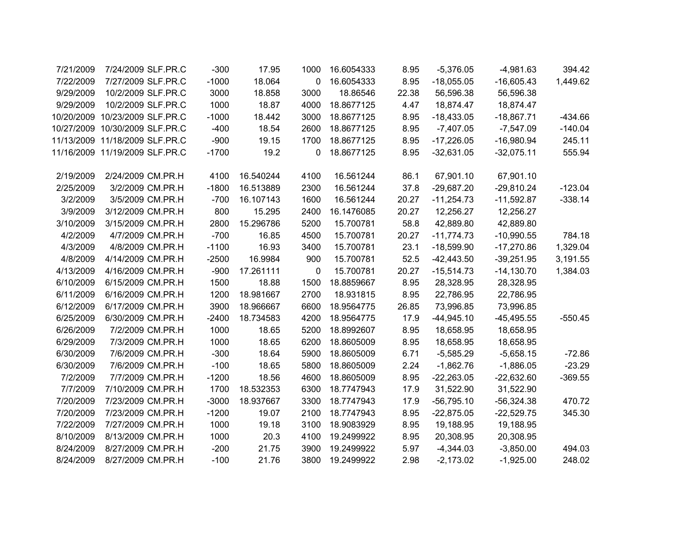| 7/21/2009 | 7/24/2009 SLF.PR.C             | $-300$  | 17.95     | 1000        | 16.6054333 | 8.95  | $-5,376.05$  | $-4,981.63$  | 394.42    |
|-----------|--------------------------------|---------|-----------|-------------|------------|-------|--------------|--------------|-----------|
| 7/22/2009 | 7/27/2009 SLF.PR.C             | $-1000$ | 18.064    | $\mathbf 0$ | 16.6054333 | 8.95  | $-18,055.05$ | $-16,605.43$ | 1,449.62  |
| 9/29/2009 | 10/2/2009 SLF.PR.C             | 3000    | 18.858    | 3000        | 18.86546   | 22.38 | 56,596.38    | 56,596.38    |           |
| 9/29/2009 | 10/2/2009 SLF.PR.C             | 1000    | 18.87     | 4000        | 18.8677125 | 4.47  | 18,874.47    | 18,874.47    |           |
|           | 10/20/2009 10/23/2009 SLF.PR.C | $-1000$ | 18.442    | 3000        | 18.8677125 | 8.95  | $-18,433.05$ | $-18,867.71$ | $-434.66$ |
|           | 10/27/2009 10/30/2009 SLF.PR.C | $-400$  | 18.54     | 2600        | 18.8677125 | 8.95  | $-7,407.05$  | $-7,547.09$  | $-140.04$ |
|           | 11/13/2009 11/18/2009 SLF.PR.C | $-900$  | 19.15     | 1700        | 18.8677125 | 8.95  | $-17,226.05$ | $-16,980.94$ | 245.11    |
|           | 11/16/2009 11/19/2009 SLF.PR.C | $-1700$ | 19.2      | $\mathbf 0$ | 18.8677125 | 8.95  | $-32,631.05$ | $-32,075.11$ | 555.94    |
|           |                                |         |           |             |            |       |              |              |           |
| 2/19/2009 | 2/24/2009 CM.PR.H              | 4100    | 16.540244 | 4100        | 16.561244  | 86.1  | 67,901.10    | 67,901.10    |           |
| 2/25/2009 | 3/2/2009 CM.PR.H               | $-1800$ | 16.513889 | 2300        | 16.561244  | 37.8  | $-29,687.20$ | $-29,810.24$ | $-123.04$ |
| 3/2/2009  | 3/5/2009 CM.PR.H               | $-700$  | 16.107143 | 1600        | 16.561244  | 20.27 | $-11,254.73$ | $-11,592.87$ | $-338.14$ |
| 3/9/2009  | 3/12/2009 CM.PR.H              | 800     | 15.295    | 2400        | 16.1476085 | 20.27 | 12,256.27    | 12,256.27    |           |
| 3/10/2009 | 3/15/2009 CM.PR.H              | 2800    | 15.296786 | 5200        | 15.700781  | 58.8  | 42,889.80    | 42,889.80    |           |
| 4/2/2009  | 4/7/2009 CM.PR.H               | $-700$  | 16.85     | 4500        | 15.700781  | 20.27 | $-11,774.73$ | $-10,990.55$ | 784.18    |
| 4/3/2009  | 4/8/2009 CM.PR.H               | $-1100$ | 16.93     | 3400        | 15.700781  | 23.1  | $-18,599.90$ | $-17,270.86$ | 1,329.04  |
| 4/8/2009  | 4/14/2009 CM.PR.H              | $-2500$ | 16.9984   | 900         | 15.700781  | 52.5  | $-42,443.50$ | $-39,251.95$ | 3,191.55  |
| 4/13/2009 | 4/16/2009 CM.PR.H              | $-900$  | 17.261111 | 0           | 15.700781  | 20.27 | $-15,514.73$ | $-14,130.70$ | 1,384.03  |
| 6/10/2009 | 6/15/2009 CM.PR.H              | 1500    | 18.88     | 1500        | 18.8859667 | 8.95  | 28,328.95    | 28,328.95    |           |
| 6/11/2009 | 6/16/2009 CM.PR.H              | 1200    | 18.981667 | 2700        | 18.931815  | 8.95  | 22,786.95    | 22,786.95    |           |
| 6/12/2009 | 6/17/2009 CM.PR.H              | 3900    | 18.966667 | 6600        | 18.9564775 | 26.85 | 73,996.85    | 73,996.85    |           |
| 6/25/2009 | 6/30/2009 CM.PR.H              | $-2400$ | 18.734583 | 4200        | 18.9564775 | 17.9  | $-44,945.10$ | $-45,495.55$ | $-550.45$ |
| 6/26/2009 | 7/2/2009 CM.PR.H               | 1000    | 18.65     | 5200        | 18.8992607 | 8.95  | 18,658.95    | 18,658.95    |           |
| 6/29/2009 | 7/3/2009 CM.PR.H               | 1000    | 18.65     | 6200        | 18.8605009 | 8.95  | 18,658.95    | 18,658.95    |           |
| 6/30/2009 | 7/6/2009 CM.PR.H               | $-300$  | 18.64     | 5900        | 18.8605009 | 6.71  | $-5,585.29$  | $-5,658.15$  | $-72.86$  |
| 6/30/2009 | 7/6/2009 CM.PR.H               | $-100$  | 18.65     | 5800        | 18.8605009 | 2.24  | $-1,862.76$  | $-1,886.05$  | $-23.29$  |
| 7/2/2009  | 7/7/2009 CM.PR.H               | $-1200$ | 18.56     | 4600        | 18.8605009 | 8.95  | $-22,263.05$ | $-22,632.60$ | $-369.55$ |
| 7/7/2009  | 7/10/2009 CM.PR.H              | 1700    | 18.532353 | 6300        | 18.7747943 | 17.9  | 31,522.90    | 31,522.90    |           |
| 7/20/2009 | 7/23/2009 CM.PR.H              | $-3000$ | 18.937667 | 3300        | 18.7747943 | 17.9  | $-56,795.10$ | $-56,324.38$ | 470.72    |
| 7/20/2009 | 7/23/2009 CM.PR.H              | $-1200$ | 19.07     | 2100        | 18.7747943 | 8.95  | $-22,875.05$ | $-22,529.75$ | 345.30    |
| 7/22/2009 | 7/27/2009 CM.PR.H              | 1000    | 19.18     | 3100        | 18.9083929 | 8.95  | 19,188.95    | 19,188.95    |           |
| 8/10/2009 | 8/13/2009 CM.PR.H              | 1000    | 20.3      | 4100        | 19.2499922 | 8.95  | 20,308.95    | 20,308.95    |           |
| 8/24/2009 | 8/27/2009 CM.PR.H              | $-200$  | 21.75     | 3900        | 19.2499922 | 5.97  | $-4,344.03$  | $-3,850.00$  | 494.03    |
| 8/24/2009 | 8/27/2009 CM.PR.H              | $-100$  | 21.76     | 3800        | 19.2499922 | 2.98  | $-2,173.02$  | $-1,925.00$  | 248.02    |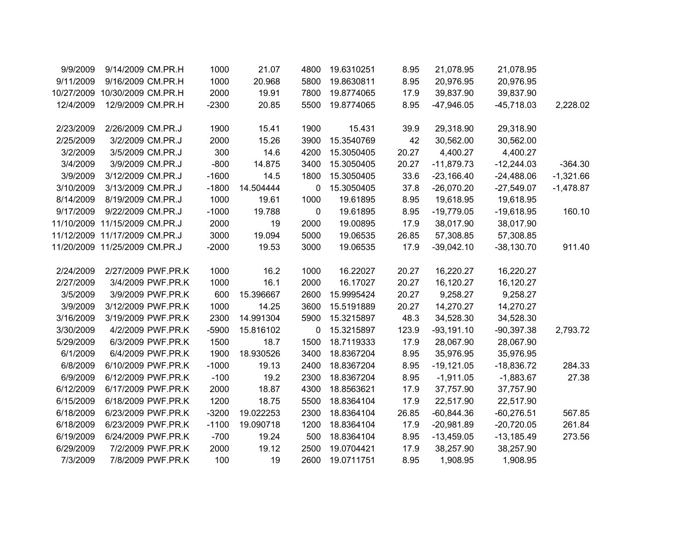| 9/9/2009   | 9/14/2009 CM.PR.H             | 1000    | 21.07     | 4800 | 19.6310251 | 8.95  | 21,078.95    | 21,078.95    |             |
|------------|-------------------------------|---------|-----------|------|------------|-------|--------------|--------------|-------------|
| 9/11/2009  | 9/16/2009 CM.PR.H             | 1000    | 20.968    | 5800 | 19.8630811 | 8.95  | 20,976.95    | 20,976.95    |             |
| 10/27/2009 | 10/30/2009 CM.PR.H            | 2000    | 19.91     | 7800 | 19.8774065 | 17.9  | 39,837.90    | 39,837.90    |             |
| 12/4/2009  | 12/9/2009 CM.PR.H             | $-2300$ | 20.85     | 5500 | 19.8774065 | 8.95  | $-47,946.05$ | $-45,718.03$ | 2,228.02    |
| 2/23/2009  | 2/26/2009 CM.PR.J             | 1900    | 15.41     | 1900 | 15.431     | 39.9  | 29,318.90    | 29,318.90    |             |
| 2/25/2009  | 3/2/2009 CM.PR.J              | 2000    | 15.26     | 3900 | 15.3540769 | 42    | 30,562.00    | 30,562.00    |             |
| 3/2/2009   | 3/5/2009 CM.PR.J              | 300     | 14.6      | 4200 | 15.3050405 | 20.27 | 4,400.27     | 4,400.27     |             |
| 3/4/2009   | 3/9/2009 CM.PR.J              | $-800$  | 14.875    | 3400 | 15.3050405 | 20.27 | $-11,879.73$ | $-12,244.03$ | $-364.30$   |
| 3/9/2009   | 3/12/2009 CM.PR.J             | $-1600$ | 14.5      | 1800 | 15.3050405 | 33.6  | $-23,166.40$ | $-24,488.06$ | $-1,321.66$ |
| 3/10/2009  | 3/13/2009 CM.PR.J             | $-1800$ | 14.504444 | 0    | 15.3050405 | 37.8  | $-26,070.20$ | $-27,549.07$ | $-1,478.87$ |
| 8/14/2009  | 8/19/2009 CM.PR.J             | 1000    | 19.61     | 1000 | 19.61895   | 8.95  | 19,618.95    | 19,618.95    |             |
| 9/17/2009  | 9/22/2009 CM.PR.J             | $-1000$ | 19.788    | 0    | 19.61895   | 8.95  | $-19,779.05$ | $-19,618.95$ | 160.10      |
|            | 11/10/2009 11/15/2009 CM.PR.J | 2000    | 19        | 2000 | 19.00895   | 17.9  | 38,017.90    | 38,017.90    |             |
|            | 11/12/2009 11/17/2009 CM.PR.J | 3000    | 19.094    | 5000 | 19.06535   | 26.85 | 57,308.85    | 57,308.85    |             |
|            | 11/20/2009 11/25/2009 CM.PR.J | $-2000$ | 19.53     | 3000 | 19.06535   | 17.9  | $-39,042.10$ | $-38,130.70$ | 911.40      |
| 2/24/2009  | 2/27/2009 PWF.PR.K            | 1000    | 16.2      | 1000 | 16.22027   | 20.27 | 16,220.27    | 16,220.27    |             |
| 2/27/2009  | 3/4/2009 PWF.PR.K             | 1000    | 16.1      | 2000 | 16.17027   | 20.27 | 16,120.27    | 16,120.27    |             |
| 3/5/2009   | 3/9/2009 PWF.PR.K             | 600     | 15.396667 | 2600 | 15.9995424 | 20.27 | 9,258.27     | 9,258.27     |             |
| 3/9/2009   | 3/12/2009 PWF.PR.K            | 1000    | 14.25     | 3600 | 15.5191889 | 20.27 | 14,270.27    | 14,270.27    |             |
| 3/16/2009  | 3/19/2009 PWF.PR.K            | 2300    | 14.991304 | 5900 | 15.3215897 | 48.3  | 34,528.30    | 34,528.30    |             |
| 3/30/2009  | 4/2/2009 PWF.PR.K             | $-5900$ | 15.816102 | 0    | 15.3215897 | 123.9 | $-93,191.10$ | $-90,397.38$ | 2,793.72    |
| 5/29/2009  | 6/3/2009 PWF.PR.K             | 1500    | 18.7      | 1500 | 18.7119333 | 17.9  | 28,067.90    | 28,067.90    |             |
| 6/1/2009   | 6/4/2009 PWF.PR.K             | 1900    | 18.930526 | 3400 | 18.8367204 | 8.95  | 35,976.95    | 35,976.95    |             |
| 6/8/2009   | 6/10/2009 PWF.PR.K            | $-1000$ | 19.13     | 2400 | 18.8367204 | 8.95  | $-19,121.05$ | $-18,836.72$ | 284.33      |
| 6/9/2009   | 6/12/2009 PWF.PR.K            | $-100$  | 19.2      | 2300 | 18.8367204 | 8.95  | $-1,911.05$  | $-1,883.67$  | 27.38       |
| 6/12/2009  | 6/17/2009 PWF.PR.K            | 2000    | 18.87     | 4300 | 18.8563621 | 17.9  | 37,757.90    | 37,757.90    |             |
| 6/15/2009  | 6/18/2009 PWF.PR.K            | 1200    | 18.75     | 5500 | 18.8364104 | 17.9  | 22,517.90    | 22,517.90    |             |
| 6/18/2009  | 6/23/2009 PWF.PR.K            | $-3200$ | 19.022253 | 2300 | 18.8364104 | 26.85 | $-60,844.36$ | $-60,276.51$ | 567.85      |
| 6/18/2009  | 6/23/2009 PWF.PR.K            | $-1100$ | 19.090718 | 1200 | 18.8364104 | 17.9  | $-20,981.89$ | $-20,720.05$ | 261.84      |
| 6/19/2009  | 6/24/2009 PWF.PR.K            | $-700$  | 19.24     | 500  | 18.8364104 | 8.95  | $-13,459.05$ | $-13,185.49$ | 273.56      |
| 6/29/2009  | 7/2/2009 PWF.PR.K             | 2000    | 19.12     | 2500 | 19.0704421 | 17.9  | 38,257.90    | 38,257.90    |             |
| 7/3/2009   | 7/8/2009 PWF.PR.K             | 100     | 19        | 2600 | 19.0711751 | 8.95  | 1,908.95     | 1,908.95     |             |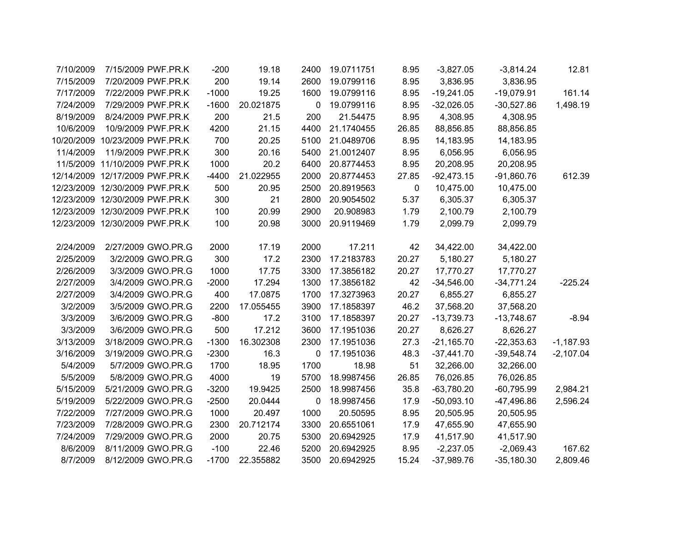| 7/10/2009  | 7/15/2009 PWF.PR.K             | $-200$  | 19.18     | 2400        | 19.0711751 | 8.95      | $-3,827.05$  | $-3,814.24$  | 12.81       |
|------------|--------------------------------|---------|-----------|-------------|------------|-----------|--------------|--------------|-------------|
| 7/15/2009  | 7/20/2009 PWF.PR.K             | 200     | 19.14     | 2600        | 19.0799116 | 8.95      | 3,836.95     | 3,836.95     |             |
| 7/17/2009  | 7/22/2009 PWF.PR.K             | $-1000$ | 19.25     | 1600        | 19.0799116 | 8.95      | $-19,241.05$ | $-19,079.91$ | 161.14      |
| 7/24/2009  | 7/29/2009 PWF.PR.K             | $-1600$ | 20.021875 | 0           | 19.0799116 | 8.95      | $-32,026.05$ | $-30,527.86$ | 1,498.19    |
| 8/19/2009  | 8/24/2009 PWF.PR.K             | 200     | 21.5      | 200         | 21.54475   | 8.95      | 4,308.95     | 4,308.95     |             |
| 10/6/2009  | 10/9/2009 PWF.PR.K             | 4200    | 21.15     | 4400        | 21.1740455 | 26.85     | 88,856.85    | 88,856.85    |             |
| 10/20/2009 | 10/23/2009 PWF.PR.K            | 700     | 20.25     | 5100        | 21.0489706 | 8.95      | 14,183.95    | 14,183.95    |             |
| 11/4/2009  | 11/9/2009 PWF.PR.K             | 300     | 20.16     | 5400        | 21.0012407 | 8.95      | 6,056.95     | 6,056.95     |             |
|            | 11/5/2009 11/10/2009 PWF.PR.K  | 1000    | 20.2      | 6400        | 20.8774453 | 8.95      | 20,208.95    | 20,208.95    |             |
|            | 12/14/2009 12/17/2009 PWF.PR.K | $-4400$ | 21.022955 | 2000        | 20.8774453 | 27.85     | $-92,473.15$ | $-91,860.76$ | 612.39      |
|            | 12/23/2009 12/30/2009 PWF.PR.K | 500     | 20.95     | 2500        | 20.8919563 | $\pmb{0}$ | 10,475.00    | 10,475.00    |             |
|            | 12/23/2009 12/30/2009 PWF.PR.K | 300     | 21        | 2800        | 20.9054502 | 5.37      | 6,305.37     | 6,305.37     |             |
|            | 12/23/2009 12/30/2009 PWF.PR.K | 100     | 20.99     | 2900        | 20.908983  | 1.79      | 2,100.79     | 2,100.79     |             |
|            | 12/23/2009 12/30/2009 PWF.PR.K | 100     | 20.98     | 3000        | 20.9119469 | 1.79      | 2,099.79     | 2,099.79     |             |
|            |                                |         |           |             |            |           |              |              |             |
| 2/24/2009  | 2/27/2009 GWO.PR.G             | 2000    | 17.19     | 2000        | 17.211     | 42        | 34,422.00    | 34,422.00    |             |
| 2/25/2009  | 3/2/2009 GWO.PR.G              | 300     | 17.2      | 2300        | 17.2183783 | 20.27     | 5,180.27     | 5,180.27     |             |
| 2/26/2009  | 3/3/2009 GWO.PR.G              | 1000    | 17.75     | 3300        | 17.3856182 | 20.27     | 17,770.27    | 17,770.27    |             |
| 2/27/2009  | 3/4/2009 GWO.PR.G              | $-2000$ | 17.294    | 1300        | 17.3856182 | 42        | $-34,546.00$ | $-34,771.24$ | $-225.24$   |
| 2/27/2009  | 3/4/2009 GWO.PR.G              | 400     | 17.0875   | 1700        | 17.3273963 | 20.27     | 6,855.27     | 6,855.27     |             |
| 3/2/2009   | 3/5/2009 GWO.PR.G              | 2200    | 17.055455 | 3900        | 17.1858397 | 46.2      | 37,568.20    | 37,568.20    |             |
| 3/3/2009   | 3/6/2009 GWO.PR.G              | $-800$  | 17.2      | 3100        | 17.1858397 | 20.27     | $-13,739.73$ | $-13,748.67$ | $-8.94$     |
| 3/3/2009   | 3/6/2009 GWO.PR.G              | 500     | 17.212    | 3600        | 17.1951036 | 20.27     | 8,626.27     | 8,626.27     |             |
| 3/13/2009  | 3/18/2009 GWO.PR.G             | $-1300$ | 16.302308 | 2300        | 17.1951036 | 27.3      | $-21,165.70$ | $-22,353.63$ | $-1,187.93$ |
| 3/16/2009  | 3/19/2009 GWO.PR.G             | $-2300$ | 16.3      | $\mathbf 0$ | 17.1951036 | 48.3      | $-37,441.70$ | $-39,548.74$ | $-2,107.04$ |
| 5/4/2009   | 5/7/2009 GWO.PR.G              | 1700    | 18.95     | 1700        | 18.98      | 51        | 32,266.00    | 32,266.00    |             |
| 5/5/2009   | 5/8/2009 GWO.PR.G              | 4000    | 19        | 5700        | 18.9987456 | 26.85     | 76,026.85    | 76,026.85    |             |
| 5/15/2009  | 5/21/2009 GWO.PR.G             | $-3200$ | 19.9425   | 2500        | 18.9987456 | 35.8      | $-63,780.20$ | $-60,795.99$ | 2,984.21    |
| 5/19/2009  | 5/22/2009 GWO.PR.G             | $-2500$ | 20.0444   | 0           | 18.9987456 | 17.9      | $-50,093.10$ | -47,496.86   | 2,596.24    |
| 7/22/2009  | 7/27/2009 GWO.PR.G             | 1000    | 20.497    | 1000        | 20.50595   | 8.95      | 20,505.95    | 20,505.95    |             |
| 7/23/2009  | 7/28/2009 GWO.PR.G             | 2300    | 20.712174 | 3300        | 20.6551061 | 17.9      | 47,655.90    | 47,655.90    |             |
| 7/24/2009  | 7/29/2009 GWO.PR.G             | 2000    | 20.75     | 5300        | 20.6942925 | 17.9      | 41,517.90    | 41,517.90    |             |
| 8/6/2009   | 8/11/2009 GWO.PR.G             | $-100$  | 22.46     | 5200        | 20.6942925 | 8.95      | $-2,237.05$  | $-2,069.43$  | 167.62      |
| 8/7/2009   | 8/12/2009 GWO.PR.G             | $-1700$ | 22.355882 | 3500        | 20.6942925 | 15.24     | $-37,989.76$ | $-35,180.30$ | 2,809.46    |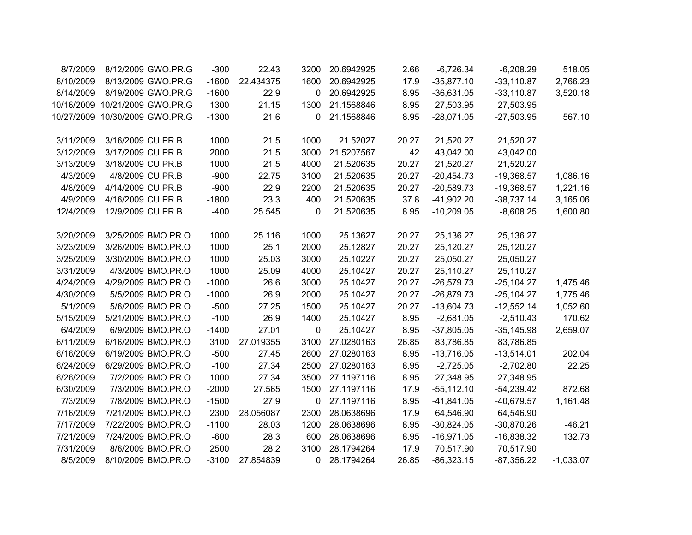| 8/7/2009  | 8/12/2009 GWO.PR.G             | $-300$  | 22.43     | 3200        | 20.6942925 | 2.66  | $-6,726.34$  | $-6,208.29$   | 518.05      |
|-----------|--------------------------------|---------|-----------|-------------|------------|-------|--------------|---------------|-------------|
| 8/10/2009 | 8/13/2009 GWO.PR.G             | $-1600$ | 22.434375 | 1600        | 20.6942925 | 17.9  | $-35,877.10$ | $-33,110.87$  | 2,766.23    |
| 8/14/2009 | 8/19/2009 GWO.PR.G             | $-1600$ | 22.9      | 0           | 20.6942925 | 8.95  | $-36,631.05$ | $-33,110.87$  | 3,520.18    |
|           | 10/16/2009 10/21/2009 GWO.PR.G | 1300    | 21.15     | 1300        | 21.1568846 | 8.95  | 27,503.95    | 27,503.95     |             |
|           | 10/27/2009 10/30/2009 GWO.PR.G | $-1300$ | 21.6      | 0           | 21.1568846 | 8.95  | $-28,071.05$ | $-27,503.95$  | 567.10      |
|           |                                |         |           |             |            |       |              |               |             |
| 3/11/2009 | 3/16/2009 CU.PR.B              | 1000    | 21.5      | 1000        | 21.52027   | 20.27 | 21,520.27    | 21,520.27     |             |
| 3/12/2009 | 3/17/2009 CU.PR.B              | 2000    | 21.5      | 3000        | 21.5207567 | 42    | 43,042.00    | 43,042.00     |             |
| 3/13/2009 | 3/18/2009 CU.PR.B              | 1000    | 21.5      | 4000        | 21.520635  | 20.27 | 21,520.27    | 21,520.27     |             |
| 4/3/2009  | 4/8/2009 CU.PR.B               | $-900$  | 22.75     | 3100        | 21.520635  | 20.27 | $-20,454.73$ | $-19,368.57$  | 1,086.16    |
| 4/8/2009  | 4/14/2009 CU.PR.B              | $-900$  | 22.9      | 2200        | 21.520635  | 20.27 | $-20,589.73$ | $-19,368.57$  | 1,221.16    |
| 4/9/2009  | 4/16/2009 CU.PR.B              | $-1800$ | 23.3      | 400         | 21.520635  | 37.8  | $-41,902.20$ | $-38,737.14$  | 3,165.06    |
| 12/4/2009 | 12/9/2009 CU.PR.B              | $-400$  | 25.545    | $\mathbf 0$ | 21.520635  | 8.95  | $-10,209.05$ | $-8,608.25$   | 1,600.80    |
|           |                                |         |           |             |            |       |              |               |             |
| 3/20/2009 | 3/25/2009 BMO.PR.O             | 1000    | 25.116    | 1000        | 25.13627   | 20.27 | 25,136.27    | 25,136.27     |             |
| 3/23/2009 | 3/26/2009 BMO.PR.O             | 1000    | 25.1      | 2000        | 25.12827   | 20.27 | 25,120.27    | 25,120.27     |             |
| 3/25/2009 | 3/30/2009 BMO.PR.O             | 1000    | 25.03     | 3000        | 25.10227   | 20.27 | 25,050.27    | 25,050.27     |             |
| 3/31/2009 | 4/3/2009 BMO.PR.O              | 1000    | 25.09     | 4000        | 25.10427   | 20.27 | 25,110.27    | 25,110.27     |             |
| 4/24/2009 | 4/29/2009 BMO.PR.O             | $-1000$ | 26.6      | 3000        | 25.10427   | 20.27 | $-26,579.73$ | $-25, 104.27$ | 1,475.46    |
| 4/30/2009 | 5/5/2009 BMO.PR.O              | $-1000$ | 26.9      | 2000        | 25.10427   | 20.27 | $-26,879.73$ | $-25, 104.27$ | 1,775.46    |
| 5/1/2009  | 5/6/2009 BMO.PR.O              | $-500$  | 27.25     | 1500        | 25.10427   | 20.27 | $-13,604.73$ | $-12,552.14$  | 1,052.60    |
| 5/15/2009 | 5/21/2009 BMO.PR.O             | $-100$  | 26.9      | 1400        | 25.10427   | 8.95  | $-2,681.05$  | $-2,510.43$   | 170.62      |
| 6/4/2009  | 6/9/2009 BMO.PR.O              | $-1400$ | 27.01     | 0           | 25.10427   | 8.95  | $-37,805.05$ | $-35,145.98$  | 2,659.07    |
| 6/11/2009 | 6/16/2009 BMO.PR.O             | 3100    | 27.019355 | 3100        | 27.0280163 | 26.85 | 83,786.85    | 83,786.85     |             |
| 6/16/2009 | 6/19/2009 BMO.PR.O             | $-500$  | 27.45     | 2600        | 27.0280163 | 8.95  | $-13,716.05$ | $-13,514.01$  | 202.04      |
| 6/24/2009 | 6/29/2009 BMO.PR.O             | $-100$  | 27.34     | 2500        | 27.0280163 | 8.95  | $-2,725.05$  | $-2,702.80$   | 22.25       |
| 6/26/2009 | 7/2/2009 BMO.PR.O              | 1000    | 27.34     | 3500        | 27.1197116 | 8.95  | 27,348.95    | 27,348.95     |             |
| 6/30/2009 | 7/3/2009 BMO.PR.O              | $-2000$ | 27.565    | 1500        | 27.1197116 | 17.9  | $-55,112.10$ | $-54,239.42$  | 872.68      |
| 7/3/2009  | 7/8/2009 BMO.PR.O              | $-1500$ | 27.9      | 0           | 27.1197116 | 8.95  | $-41,841.05$ | $-40,679.57$  | 1,161.48    |
| 7/16/2009 | 7/21/2009 BMO.PR.O             | 2300    | 28.056087 | 2300        | 28.0638696 | 17.9  | 64,546.90    | 64,546.90     |             |
| 7/17/2009 | 7/22/2009 BMO.PR.O             | $-1100$ | 28.03     | 1200        | 28.0638696 | 8.95  | $-30,824.05$ | $-30,870.26$  | $-46.21$    |
| 7/21/2009 | 7/24/2009 BMO.PR.O             | $-600$  | 28.3      | 600         | 28.0638696 | 8.95  | $-16,971.05$ | $-16,838.32$  | 132.73      |
| 7/31/2009 | 8/6/2009 BMO.PR.O              | 2500    | 28.2      | 3100        | 28.1794264 | 17.9  | 70,517.90    | 70,517.90     |             |
| 8/5/2009  | 8/10/2009 BMO.PR.O             | $-3100$ | 27.854839 | 0           | 28.1794264 | 26.85 | $-86,323.15$ | $-87,356.22$  | $-1,033.07$ |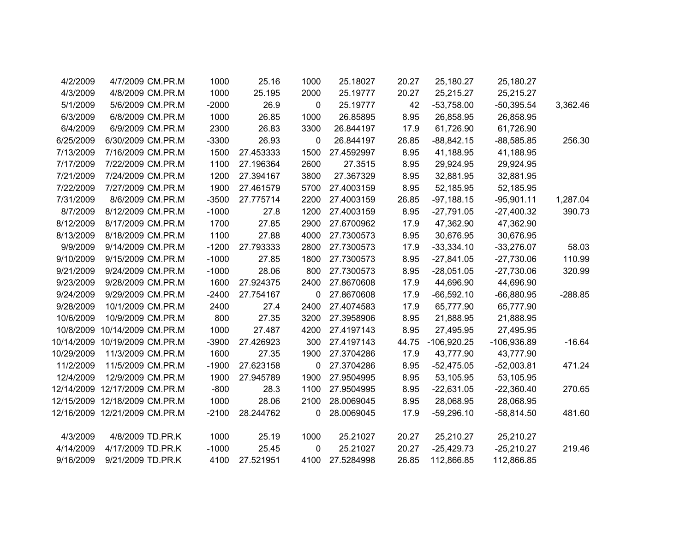| 4/2/2009   | 4/7/2009 CM.PR.M              | 1000    | 25.16     | 1000         | 25.18027   | 20.27 | 25,180.27     | 25,180.27     |           |
|------------|-------------------------------|---------|-----------|--------------|------------|-------|---------------|---------------|-----------|
| 4/3/2009   | 4/8/2009 CM.PR.M              | 1000    | 25.195    | 2000         | 25.19777   | 20.27 | 25,215.27     | 25,215.27     |           |
| 5/1/2009   | 5/6/2009 CM.PR.M              | $-2000$ | 26.9      | $\mathbf 0$  | 25.19777   | 42    | $-53,758.00$  | $-50,395.54$  | 3,362.46  |
| 6/3/2009   | 6/8/2009 CM.PR.M              | 1000    | 26.85     | 1000         | 26.85895   | 8.95  | 26,858.95     | 26,858.95     |           |
| 6/4/2009   | 6/9/2009 CM.PR.M              | 2300    | 26.83     | 3300         | 26.844197  | 17.9  | 61,726.90     | 61,726.90     |           |
| 6/25/2009  | 6/30/2009 CM.PR.M             | $-3300$ | 26.93     | 0            | 26.844197  | 26.85 | $-88,842.15$  | $-88,585.85$  | 256.30    |
| 7/13/2009  | 7/16/2009 CM.PR.M             | 1500    | 27.453333 | 1500         | 27.4592997 | 8.95  | 41,188.95     | 41,188.95     |           |
| 7/17/2009  | 7/22/2009 CM.PR.M             | 1100    | 27.196364 | 2600         | 27.3515    | 8.95  | 29,924.95     | 29,924.95     |           |
| 7/21/2009  | 7/24/2009 CM.PR.M             | 1200    | 27.394167 | 3800         | 27.367329  | 8.95  | 32,881.95     | 32,881.95     |           |
| 7/22/2009  | 7/27/2009 CM.PR.M             | 1900    | 27.461579 | 5700         | 27.4003159 | 8.95  | 52,185.95     | 52,185.95     |           |
| 7/31/2009  | 8/6/2009 CM.PR.M              | $-3500$ | 27.775714 | 2200         | 27.4003159 | 26.85 | $-97,188.15$  | $-95,901.11$  | 1,287.04  |
| 8/7/2009   | 8/12/2009 CM.PR.M             | $-1000$ | 27.8      | 1200         | 27.4003159 | 8.95  | $-27,791.05$  | $-27,400.32$  | 390.73    |
| 8/12/2009  | 8/17/2009 CM.PR.M             | 1700    | 27.85     | 2900         | 27.6700962 | 17.9  | 47,362.90     | 47,362.90     |           |
| 8/13/2009  | 8/18/2009 CM.PR.M             | 1100    | 27.88     | 4000         | 27.7300573 | 8.95  | 30,676.95     | 30,676.95     |           |
| 9/9/2009   | 9/14/2009 CM.PR.M             | $-1200$ | 27.793333 | 2800         | 27.7300573 | 17.9  | $-33,334.10$  | $-33,276.07$  | 58.03     |
| 9/10/2009  | 9/15/2009 CM.PR.M             | $-1000$ | 27.85     | 1800         | 27.7300573 | 8.95  | $-27,841.05$  | $-27,730.06$  | 110.99    |
| 9/21/2009  | 9/24/2009 CM.PR.M             | $-1000$ | 28.06     | 800          | 27.7300573 | 8.95  | $-28,051.05$  | $-27,730.06$  | 320.99    |
| 9/23/2009  | 9/28/2009 CM.PR.M             | 1600    | 27.924375 | 2400         | 27.8670608 | 17.9  | 44,696.90     | 44,696.90     |           |
| 9/24/2009  | 9/29/2009 CM.PR.M             | $-2400$ | 27.754167 | $\mathbf 0$  | 27.8670608 | 17.9  | $-66,592.10$  | $-66,880.95$  | $-288.85$ |
| 9/28/2009  | 10/1/2009 CM.PR.M             | 2400    | 27.4      | 2400         | 27.4074583 | 17.9  | 65,777.90     | 65,777.90     |           |
| 10/6/2009  | 10/9/2009 CM.PR.M             | 800     | 27.35     | 3200         | 27.3958906 | 8.95  | 21,888.95     | 21,888.95     |           |
| 10/8/2009  | 10/14/2009 CM.PR.M            | 1000    | 27.487    | 4200         | 27.4197143 | 8.95  | 27,495.95     | 27,495.95     |           |
|            | 10/14/2009 10/19/2009 CM.PR.M | $-3900$ | 27.426923 | 300          | 27.4197143 | 44.75 | $-106,920.25$ | $-106,936.89$ | $-16.64$  |
| 10/29/2009 | 11/3/2009 CM.PR.M             | 1600    | 27.35     | 1900         | 27.3704286 | 17.9  | 43,777.90     | 43,777.90     |           |
| 11/2/2009  | 11/5/2009 CM.PR.M             | $-1900$ | 27.623158 | 0            | 27.3704286 | 8.95  | $-52,475.05$  | $-52,003.81$  | 471.24    |
| 12/4/2009  | 12/9/2009 CM.PR.M             | 1900    | 27.945789 | 1900         | 27.9504995 | 8.95  | 53,105.95     | 53,105.95     |           |
|            | 12/14/2009 12/17/2009 CM.PR.M | $-800$  | 28.3      | 1100         | 27.9504995 | 8.95  | $-22,631.05$  | $-22,360.40$  | 270.65    |
|            | 12/15/2009 12/18/2009 CM.PR.M | 1000    | 28.06     | 2100         | 28.0069045 | 8.95  | 28,068.95     | 28,068.95     |           |
|            | 12/16/2009 12/21/2009 CM.PR.M | $-2100$ | 28.244762 | $\mathbf{0}$ | 28.0069045 | 17.9  | $-59,296.10$  | $-58,814.50$  | 481.60    |
| 4/3/2009   | 4/8/2009 TD.PR.K              | 1000    | 25.19     | 1000         | 25.21027   | 20.27 | 25,210.27     | 25,210.27     |           |
| 4/14/2009  | 4/17/2009 TD.PR.K             | $-1000$ | 25.45     | 0            | 25.21027   | 20.27 | $-25,429.73$  | $-25,210.27$  | 219.46    |
| 9/16/2009  | 9/21/2009 TD.PR.K             | 4100    | 27.521951 | 4100         | 27.5284998 | 26.85 | 112,866.85    | 112,866.85    |           |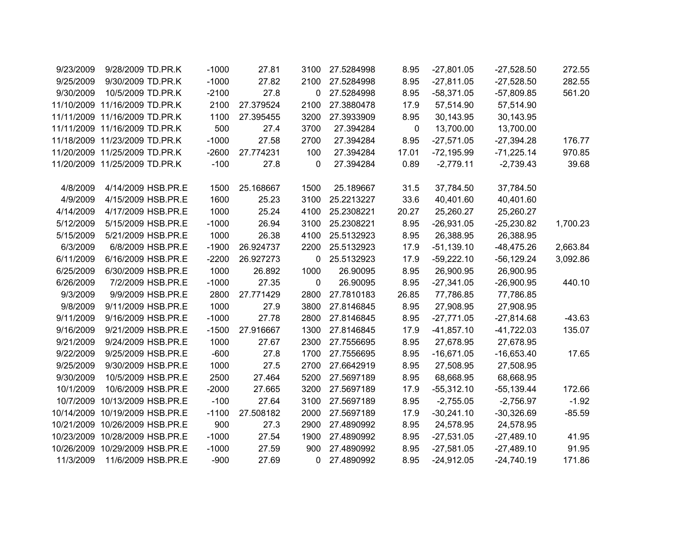| 9/23/2009 | 9/28/2009 TD.PR.K              | $-1000$ | 27.81     | 3100         | 27.5284998 | 8.95  | $-27,801.05$ | $-27,528.50$  | 272.55   |
|-----------|--------------------------------|---------|-----------|--------------|------------|-------|--------------|---------------|----------|
| 9/25/2009 | 9/30/2009 TD.PR.K              | $-1000$ | 27.82     | 2100         | 27.5284998 | 8.95  | $-27,811.05$ | $-27,528.50$  | 282.55   |
| 9/30/2009 | 10/5/2009 TD.PR.K              | $-2100$ | 27.8      | 0            | 27.5284998 | 8.95  | $-58,371.05$ | $-57,809.85$  | 561.20   |
|           | 11/10/2009 11/16/2009 TD.PR.K  | 2100    | 27.379524 | 2100         | 27.3880478 | 17.9  | 57,514.90    | 57,514.90     |          |
|           | 11/11/2009 11/16/2009 TD.PR.K  | 1100    | 27.395455 | 3200         | 27.3933909 | 8.95  | 30,143.95    | 30,143.95     |          |
|           | 11/11/2009 11/16/2009 TD.PR.K  | 500     | 27.4      | 3700         | 27.394284  | 0     | 13,700.00    | 13,700.00     |          |
|           | 11/18/2009 11/23/2009 TD.PR.K  | $-1000$ | 27.58     | 2700         | 27.394284  | 8.95  | $-27,571.05$ | $-27,394.28$  | 176.77   |
|           | 11/20/2009 11/25/2009 TD.PR.K  | $-2600$ | 27.774231 | 100          | 27.394284  | 17.01 | $-72,195.99$ | $-71,225.14$  | 970.85   |
|           | 11/20/2009 11/25/2009 TD.PR.K  | $-100$  | 27.8      | 0            | 27.394284  | 0.89  | $-2,779.11$  | $-2,739.43$   | 39.68    |
|           |                                |         |           |              |            |       |              |               |          |
| 4/8/2009  | 4/14/2009 HSB.PR.E             | 1500    | 25.168667 | 1500         | 25.189667  | 31.5  | 37,784.50    | 37,784.50     |          |
| 4/9/2009  | 4/15/2009 HSB.PR.E             | 1600    | 25.23     | 3100         | 25.2213227 | 33.6  | 40,401.60    | 40,401.60     |          |
| 4/14/2009 | 4/17/2009 HSB.PR.E             | 1000    | 25.24     | 4100         | 25.2308221 | 20.27 | 25,260.27    | 25,260.27     |          |
| 5/12/2009 | 5/15/2009 HSB.PR.E             | $-1000$ | 26.94     | 3100         | 25.2308221 | 8.95  | $-26,931.05$ | $-25,230.82$  | 1,700.23 |
| 5/15/2009 | 5/21/2009 HSB.PR.E             | 1000    | 26.38     | 4100         | 25.5132923 | 8.95  | 26,388.95    | 26,388.95     |          |
| 6/3/2009  | 6/8/2009 HSB.PR.E              | $-1900$ | 26.924737 | 2200         | 25.5132923 | 17.9  | $-51,139.10$ | $-48,475.26$  | 2,663.84 |
| 6/11/2009 | 6/16/2009 HSB.PR.E             | $-2200$ | 26.927273 | 0            | 25.5132923 | 17.9  | $-59,222.10$ | $-56, 129.24$ | 3,092.86 |
| 6/25/2009 | 6/30/2009 HSB.PR.E             | 1000    | 26.892    | 1000         | 26.90095   | 8.95  | 26,900.95    | 26,900.95     |          |
| 6/26/2009 | 7/2/2009 HSB.PR.E              | $-1000$ | 27.35     | $\mathbf 0$  | 26.90095   | 8.95  | $-27,341.05$ | $-26,900.95$  | 440.10   |
| 9/3/2009  | 9/9/2009 HSB.PR.E              | 2800    | 27.771429 | 2800         | 27.7810183 | 26.85 | 77,786.85    | 77,786.85     |          |
| 9/8/2009  | 9/11/2009 HSB.PR.E             | 1000    | 27.9      | 3800         | 27.8146845 | 8.95  | 27,908.95    | 27,908.95     |          |
| 9/11/2009 | 9/16/2009 HSB.PR.E             | $-1000$ | 27.78     | 2800         | 27.8146845 | 8.95  | $-27,771.05$ | $-27,814.68$  | $-43.63$ |
| 9/16/2009 | 9/21/2009 HSB.PR.E             | $-1500$ | 27.916667 | 1300         | 27.8146845 | 17.9  | $-41,857.10$ | $-41,722.03$  | 135.07   |
| 9/21/2009 | 9/24/2009 HSB.PR.E             | 1000    | 27.67     | 2300         | 27.7556695 | 8.95  | 27,678.95    | 27,678.95     |          |
| 9/22/2009 | 9/25/2009 HSB.PR.E             | $-600$  | 27.8      | 1700         | 27.7556695 | 8.95  | $-16,671.05$ | $-16,653.40$  | 17.65    |
| 9/25/2009 | 9/30/2009 HSB.PR.E             | 1000    | 27.5      | 2700         | 27.6642919 | 8.95  | 27,508.95    | 27,508.95     |          |
| 9/30/2009 | 10/5/2009 HSB.PR.E             | 2500    | 27.464    | 5200         | 27.5697189 | 8.95  | 68,668.95    | 68,668.95     |          |
| 10/1/2009 | 10/6/2009 HSB.PR.E             | $-2000$ | 27.665    | 3200         | 27.5697189 | 17.9  | $-55,312.10$ | $-55,139.44$  | 172.66   |
| 10/7/2009 | 10/13/2009 HSB.PR.E            | $-100$  | 27.64     | 3100         | 27.5697189 | 8.95  | $-2,755.05$  | $-2,756.97$   | $-1.92$  |
|           | 10/14/2009 10/19/2009 HSB.PR.E | $-1100$ | 27.508182 | 2000         | 27.5697189 | 17.9  | $-30,241.10$ | $-30,326.69$  | $-85.59$ |
|           | 10/21/2009 10/26/2009 HSB.PR.E | 900     | 27.3      | 2900         | 27.4890992 | 8.95  | 24,578.95    | 24,578.95     |          |
|           | 10/23/2009 10/28/2009 HSB.PR.E | $-1000$ | 27.54     | 1900         | 27.4890992 | 8.95  | $-27,531.05$ | $-27,489.10$  | 41.95    |
|           | 10/26/2009 10/29/2009 HSB.PR.E | $-1000$ | 27.59     | 900          | 27.4890992 | 8.95  | $-27,581.05$ | $-27,489.10$  | 91.95    |
| 11/3/2009 | 11/6/2009 HSB.PR.E             | $-900$  | 27.69     | $\mathbf{0}$ | 27.4890992 | 8.95  | $-24,912.05$ | $-24,740.19$  | 171.86   |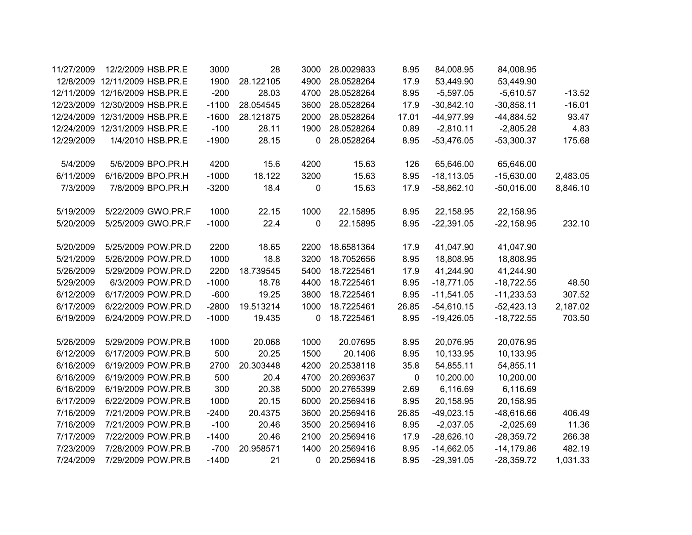| 11/27/2009 | 12/2/2009 HSB.PR.E             |                   | 3000    | 28        | 3000 | 28.0029833 | 8.95  | 84,008.95    | 84,008.95    |          |
|------------|--------------------------------|-------------------|---------|-----------|------|------------|-------|--------------|--------------|----------|
|            | 12/8/2009 12/11/2009 HSB.PR.E  |                   | 1900    | 28.122105 | 4900 | 28.0528264 | 17.9  | 53,449.90    | 53,449.90    |          |
|            | 12/11/2009 12/16/2009 HSB.PR.E |                   | $-200$  | 28.03     | 4700 | 28.0528264 | 8.95  | $-5,597.05$  | $-5,610.57$  | $-13.52$ |
|            | 12/23/2009 12/30/2009 HSB.PR.E |                   | $-1100$ | 28.054545 | 3600 | 28.0528264 | 17.9  | $-30,842.10$ | $-30,858.11$ | $-16.01$ |
|            | 12/24/2009 12/31/2009 HSB.PR.E |                   | $-1600$ | 28.121875 | 2000 | 28.0528264 | 17.01 | -44,977.99   | $-44,884.52$ | 93.47    |
|            | 12/24/2009 12/31/2009 HSB.PR.E |                   | $-100$  | 28.11     | 1900 | 28.0528264 | 0.89  | $-2,810.11$  | $-2,805.28$  | 4.83     |
| 12/29/2009 | 1/4/2010 HSB.PR.E              |                   | $-1900$ | 28.15     | 0    | 28.0528264 | 8.95  | $-53,476.05$ | $-53,300.37$ | 175.68   |
|            |                                |                   |         |           |      |            |       |              |              |          |
| 5/4/2009   | 5/6/2009 BPO.PR.H              |                   | 4200    | 15.6      | 4200 | 15.63      | 126   | 65,646.00    | 65,646.00    |          |
| 6/11/2009  | 6/16/2009 BPO.PR.H             |                   | $-1000$ | 18.122    | 3200 | 15.63      | 8.95  | $-18,113.05$ | $-15,630.00$ | 2,483.05 |
| 7/3/2009   | 7/8/2009 BPO.PR.H              |                   | $-3200$ | 18.4      | 0    | 15.63      | 17.9  | $-58,862.10$ | $-50,016.00$ | 8,846.10 |
|            |                                |                   |         |           |      |            |       |              |              |          |
| 5/19/2009  | 5/22/2009 GWO.PR.F             |                   | 1000    | 22.15     | 1000 | 22.15895   | 8.95  | 22,158.95    | 22,158.95    |          |
| 5/20/2009  | 5/25/2009 GWO.PR.F             |                   | $-1000$ | 22.4      | 0    | 22.15895   | 8.95  | $-22,391.05$ | $-22,158.95$ | 232.10   |
|            |                                |                   |         |           |      |            |       |              |              |          |
| 5/20/2009  | 5/25/2009 POW.PR.D             |                   | 2200    | 18.65     | 2200 | 18.6581364 | 17.9  | 41,047.90    | 41,047.90    |          |
| 5/21/2009  | 5/26/2009 POW.PR.D             |                   | 1000    | 18.8      | 3200 | 18.7052656 | 8.95  | 18,808.95    | 18,808.95    |          |
| 5/26/2009  | 5/29/2009 POW.PR.D             |                   | 2200    | 18.739545 | 5400 | 18.7225461 | 17.9  | 41,244.90    | 41,244.90    |          |
| 5/29/2009  |                                | 6/3/2009 POW.PR.D | $-1000$ | 18.78     | 4400 | 18.7225461 | 8.95  | $-18,771.05$ | $-18,722.55$ | 48.50    |
| 6/12/2009  | 6/17/2009 POW.PR.D             |                   | $-600$  | 19.25     | 3800 | 18.7225461 | 8.95  | $-11,541.05$ | $-11,233.53$ | 307.52   |
| 6/17/2009  | 6/22/2009 POW.PR.D             |                   | $-2800$ | 19.513214 | 1000 | 18.7225461 | 26.85 | $-54,610.15$ | $-52,423.13$ | 2,187.02 |
| 6/19/2009  | 6/24/2009 POW.PR.D             |                   | $-1000$ | 19.435    | 0    | 18.7225461 | 8.95  | $-19,426.05$ | $-18,722.55$ | 703.50   |
|            |                                |                   |         |           |      |            |       |              |              |          |
| 5/26/2009  | 5/29/2009 POW.PR.B             |                   | 1000    | 20.068    | 1000 | 20.07695   | 8.95  | 20,076.95    | 20,076.95    |          |
| 6/12/2009  | 6/17/2009 POW.PR.B             |                   | 500     | 20.25     | 1500 | 20.1406    | 8.95  | 10,133.95    | 10,133.95    |          |
| 6/16/2009  | 6/19/2009 POW.PR.B             |                   | 2700    | 20.303448 | 4200 | 20.2538118 | 35.8  | 54,855.11    | 54,855.11    |          |
| 6/16/2009  | 6/19/2009 POW.PR.B             |                   | 500     | 20.4      | 4700 | 20.2693637 | 0     | 10,200.00    | 10,200.00    |          |
| 6/16/2009  | 6/19/2009 POW.PR.B             |                   | 300     | 20.38     | 5000 | 20.2765399 | 2.69  | 6,116.69     | 6,116.69     |          |
| 6/17/2009  | 6/22/2009 POW.PR.B             |                   | 1000    | 20.15     | 6000 | 20.2569416 | 8.95  | 20,158.95    | 20,158.95    |          |
| 7/16/2009  | 7/21/2009 POW.PR.B             |                   | $-2400$ | 20.4375   | 3600 | 20.2569416 | 26.85 | $-49,023.15$ | $-48,616.66$ | 406.49   |
| 7/16/2009  | 7/21/2009 POW.PR.B             |                   | $-100$  | 20.46     | 3500 | 20.2569416 | 8.95  | $-2,037.05$  | $-2,025.69$  | 11.36    |
| 7/17/2009  | 7/22/2009 POW.PR.B             |                   | $-1400$ | 20.46     | 2100 | 20.2569416 | 17.9  | $-28,626.10$ | $-28,359.72$ | 266.38   |
| 7/23/2009  | 7/28/2009 POW.PR.B             |                   | $-700$  | 20.958571 | 1400 | 20.2569416 | 8.95  | $-14,662.05$ | $-14,179.86$ | 482.19   |
| 7/24/2009  | 7/29/2009 POW.PR.B             |                   | $-1400$ | 21        | 0    | 20.2569416 | 8.95  | $-29,391.05$ | $-28,359.72$ | 1,031.33 |
|            |                                |                   |         |           |      |            |       |              |              |          |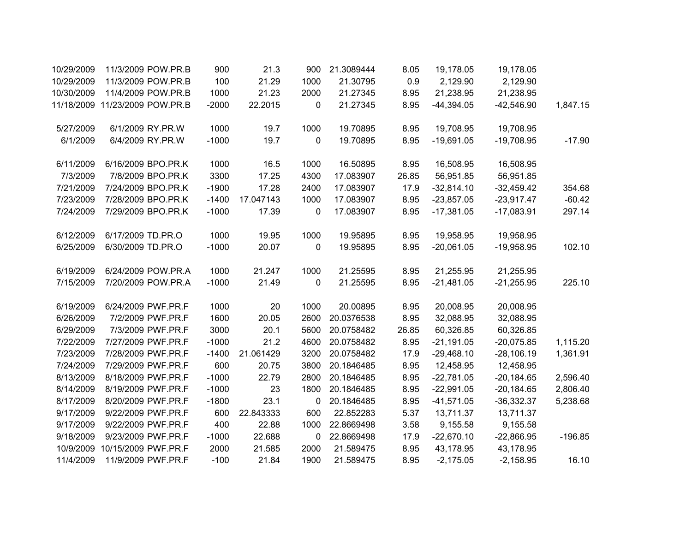|           | 19,178.05    | 19,178.05    | 8.05  | 21.3089444 | 900         | 21.3      | 900     | 11/3/2009 POW.PR.B             | 10/29/2009 |
|-----------|--------------|--------------|-------|------------|-------------|-----------|---------|--------------------------------|------------|
|           | 2,129.90     | 2,129.90     | 0.9   | 21.30795   | 1000        | 21.29     | 100     | 11/3/2009 POW.PR.B             | 10/29/2009 |
|           | 21,238.95    | 21,238.95    | 8.95  | 21.27345   | 2000        | 21.23     | 1000    | 11/4/2009 POW.PR.B             | 10/30/2009 |
| 1,847.15  | $-42,546.90$ | $-44,394.05$ | 8.95  | 21.27345   | $\mathbf 0$ | 22.2015   | $-2000$ | 11/18/2009 11/23/2009 POW.PR.B |            |
|           | 19,708.95    | 19,708.95    | 8.95  | 19.70895   | 1000        | 19.7      | 1000    | 6/1/2009 RY.PR.W               | 5/27/2009  |
| $-17.90$  | $-19,708.95$ | $-19,691.05$ | 8.95  | 19.70895   | 0           | 19.7      | $-1000$ | 6/4/2009 RY.PR.W               | 6/1/2009   |
|           | 16,508.95    | 16,508.95    | 8.95  | 16.50895   | 1000        | 16.5      | 1000    | 6/16/2009 BPO.PR.K             | 6/11/2009  |
|           | 56,951.85    | 56,951.85    | 26.85 | 17.083907  | 4300        | 17.25     | 3300    | 7/8/2009 BPO.PR.K              | 7/3/2009   |
| 354.68    | $-32,459.42$ | $-32,814.10$ | 17.9  | 17.083907  | 2400        | 17.28     | $-1900$ | 7/24/2009 BPO.PR.K             | 7/21/2009  |
| $-60.42$  | $-23,917.47$ | $-23,857.05$ | 8.95  | 17.083907  | 1000        | 17.047143 | $-1400$ | 7/28/2009 BPO.PR.K             | 7/23/2009  |
| 297.14    | $-17,083.91$ | $-17,381.05$ | 8.95  | 17.083907  | 0           | 17.39     | $-1000$ | 7/29/2009 BPO.PR.K             | 7/24/2009  |
|           | 19,958.95    | 19,958.95    | 8.95  | 19.95895   | 1000        | 19.95     | 1000    | 6/17/2009 TD.PR.O              | 6/12/2009  |
| 102.10    | $-19,958.95$ | $-20,061.05$ | 8.95  | 19.95895   | 0           | 20.07     | $-1000$ | 6/30/2009 TD.PR.O              | 6/25/2009  |
|           | 21,255.95    | 21,255.95    | 8.95  | 21.25595   | 1000        | 21.247    | 1000    | 6/24/2009 POW.PR.A             | 6/19/2009  |
| 225.10    | $-21,255.95$ | $-21,481.05$ | 8.95  | 21.25595   | 0           | 21.49     | $-1000$ | 7/20/2009 POW.PR.A             | 7/15/2009  |
|           | 20,008.95    | 20,008.95    | 8.95  | 20.00895   | 1000        | 20        | 1000    | 6/24/2009 PWF.PR.F             | 6/19/2009  |
|           | 32,088.95    | 32,088.95    | 8.95  | 20.0376538 | 2600        | 20.05     | 1600    | 7/2/2009 PWF.PR.F              | 6/26/2009  |
|           | 60,326.85    | 60,326.85    | 26.85 | 20.0758482 | 5600        | 20.1      | 3000    | 7/3/2009 PWF.PR.F              | 6/29/2009  |
| 1,115.20  | $-20,075.85$ | $-21,191.05$ | 8.95  | 20.0758482 | 4600        | 21.2      | $-1000$ | 7/27/2009 PWF.PR.F             | 7/22/2009  |
| 1,361.91  | $-28,106.19$ | $-29,468.10$ | 17.9  | 20.0758482 | 3200        | 21.061429 | $-1400$ | 7/28/2009 PWF.PR.F             | 7/23/2009  |
|           | 12,458.95    | 12,458.95    | 8.95  | 20.1846485 | 3800        | 20.75     | 600     | 7/29/2009 PWF.PR.F             | 7/24/2009  |
| 2,596.40  | $-20,184.65$ | $-22,781.05$ | 8.95  | 20.1846485 | 2800        | 22.79     | $-1000$ | 8/18/2009 PWF.PR.F             | 8/13/2009  |
| 2,806.40  | $-20,184.65$ | $-22,991.05$ | 8.95  | 20.1846485 | 1800        | 23        | $-1000$ | 8/19/2009 PWF.PR.F             | 8/14/2009  |
| 5,238.68  | $-36,332.37$ | $-41,571.05$ | 8.95  | 20.1846485 | 0           | 23.1      | $-1800$ | 8/20/2009 PWF.PR.F             | 8/17/2009  |
|           | 13,711.37    | 13,711.37    | 5.37  | 22.852283  | 600         | 22.843333 | 600     | 9/22/2009 PWF.PR.F             | 9/17/2009  |
|           | 9,155.58     | 9,155.58     | 3.58  | 22.8669498 | 1000        | 22.88     | 400     | 9/22/2009 PWF.PR.F             | 9/17/2009  |
| $-196.85$ | $-22,866.95$ | $-22,670.10$ | 17.9  | 22.8669498 | 0           | 22.688    | $-1000$ | 9/23/2009 PWF.PR.F             | 9/18/2009  |
|           | 43,178.95    | 43,178.95    | 8.95  | 21.589475  | 2000        | 21.585    | 2000    | 10/15/2009 PWF.PR.F            | 10/9/2009  |
| 16.10     | $-2,158.95$  | $-2,175.05$  | 8.95  | 21.589475  | 1900        | 21.84     | $-100$  | 11/9/2009 PWF.PR.F             | 11/4/2009  |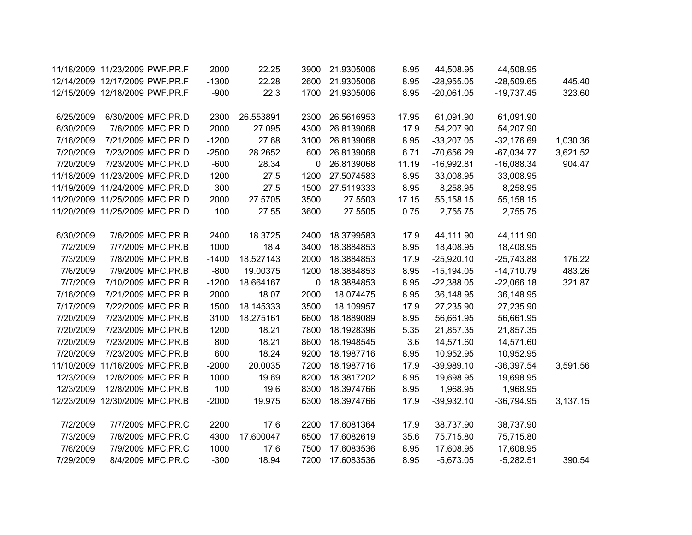|          | 44,508.95    | 44,508.95    | 8.95  | 21.9305006 | 3900        | 22.25     | 2000    | 11/18/2009 11/23/2009 PWF.PR.F |            |
|----------|--------------|--------------|-------|------------|-------------|-----------|---------|--------------------------------|------------|
| 445.40   | $-28,509.65$ | $-28,955.05$ | 8.95  | 21.9305006 | 2600        | 22.28     | $-1300$ | 12/14/2009 12/17/2009 PWF.PR.F |            |
| 323.60   | $-19,737.45$ | $-20,061.05$ | 8.95  | 21.9305006 | 1700        | 22.3      | $-900$  | 12/15/2009 12/18/2009 PWF.PR.F |            |
|          |              |              |       |            |             |           |         |                                |            |
|          | 61,091.90    | 61,091.90    | 17.95 | 26.5616953 | 2300        | 26.553891 | 2300    | 6/30/2009 MFC.PR.D             | 6/25/2009  |
|          | 54,207.90    | 54,207.90    | 17.9  | 26.8139068 | 4300        | 27.095    | 2000    | 7/6/2009 MFC.PR.D              | 6/30/2009  |
| 1,030.36 | $-32,176.69$ | $-33,207.05$ | 8.95  | 26.8139068 | 3100        | 27.68     | $-1200$ | 7/21/2009 MFC.PR.D             | 7/16/2009  |
| 3,621.52 | $-67,034.77$ | $-70,656.29$ | 6.71  | 26.8139068 | 600         | 28.2652   | $-2500$ | 7/23/2009 MFC.PR.D             | 7/20/2009  |
| 904.47   | $-16,088.34$ | $-16,992.81$ | 11.19 | 26.8139068 | 0           | 28.34     | $-600$  | 7/23/2009 MFC.PR.D             | 7/20/2009  |
|          | 33,008.95    | 33,008.95    | 8.95  | 27.5074583 | 1200        | 27.5      | 1200    | 11/18/2009 11/23/2009 MFC.PR.D |            |
|          | 8,258.95     | 8,258.95     | 8.95  | 27.5119333 | 1500        | 27.5      | 300     | 11/19/2009 11/24/2009 MFC.PR.D |            |
|          | 55,158.15    | 55,158.15    | 17.15 | 27.5503    | 3500        | 27.5705   | 2000    | 11/20/2009 11/25/2009 MFC.PR.D |            |
|          | 2,755.75     | 2,755.75     | 0.75  | 27.5505    | 3600        | 27.55     | 100     | 11/20/2009 11/25/2009 MFC.PR.D |            |
|          |              |              |       |            |             |           |         |                                |            |
|          | 44,111.90    | 44,111.90    | 17.9  | 18.3799583 | 2400        | 18.3725   | 2400    | 7/6/2009 MFC.PR.B              | 6/30/2009  |
|          | 18,408.95    | 18,408.95    | 8.95  | 18.3884853 | 3400        | 18.4      | 1000    | 7/7/2009 MFC.PR.B              | 7/2/2009   |
| 176.22   | $-25,743.88$ | $-25,920.10$ | 17.9  | 18.3884853 | 2000        | 18.527143 | $-1400$ | 7/8/2009 MFC.PR.B              | 7/3/2009   |
| 483.26   | $-14,710.79$ | $-15,194.05$ | 8.95  | 18.3884853 | 1200        | 19.00375  | $-800$  | 7/9/2009 MFC.PR.B              | 7/6/2009   |
| 321.87   | $-22,066.18$ | $-22,388.05$ | 8.95  | 18.3884853 | $\mathbf 0$ | 18.664167 | $-1200$ | 7/10/2009 MFC.PR.B             | 7/7/2009   |
|          | 36,148.95    | 36,148.95    | 8.95  | 18.074475  | 2000        | 18.07     | 2000    | 7/21/2009 MFC.PR.B             | 7/16/2009  |
|          | 27,235.90    | 27,235.90    | 17.9  | 18.109957  | 3500        | 18.145333 | 1500    | 7/22/2009 MFC.PR.B             | 7/17/2009  |
|          | 56,661.95    | 56,661.95    | 8.95  | 18.1889089 | 6600        | 18.275161 | 3100    | 7/23/2009 MFC.PR.B             | 7/20/2009  |
|          | 21,857.35    | 21,857.35    | 5.35  | 18.1928396 | 7800        | 18.21     | 1200    | 7/23/2009 MFC.PR.B             | 7/20/2009  |
|          | 14,571.60    | 14,571.60    | 3.6   | 18.1948545 | 8600        | 18.21     | 800     | 7/23/2009 MFC.PR.B             | 7/20/2009  |
|          | 10,952.95    | 10,952.95    | 8.95  | 18.1987716 | 9200        | 18.24     | 600     | 7/23/2009 MFC.PR.B             | 7/20/2009  |
| 3,591.56 | $-36,397.54$ | $-39,989.10$ | 17.9  | 18.1987716 | 7200        | 20.0035   | $-2000$ | 11/16/2009 MFC.PR.B            | 11/10/2009 |
|          | 19,698.95    | 19,698.95    | 8.95  | 18.3817202 | 8200        | 19.69     | 1000    | 12/8/2009 MFC.PR.B             | 12/3/2009  |
|          | 1,968.95     | 1,968.95     | 8.95  | 18.3974766 | 8300        | 19.6      | 100     | 12/8/2009 MFC.PR.B             | 12/3/2009  |
| 3,137.15 | $-36,794.95$ | $-39,932.10$ | 17.9  | 18.3974766 | 6300        | 19.975    | $-2000$ | 12/23/2009 12/30/2009 MFC.PR.B |            |
|          |              |              |       |            |             |           |         |                                |            |
|          | 38,737.90    | 38,737.90    | 17.9  | 17.6081364 | 2200        | 17.6      | 2200    | 7/7/2009 MFC.PR.C              | 7/2/2009   |
|          | 75,715.80    | 75,715.80    | 35.6  | 17.6082619 | 6500        | 17.600047 | 4300    | 7/8/2009 MFC.PR.C              | 7/3/2009   |
|          | 17,608.95    | 17,608.95    | 8.95  | 17.6083536 | 7500        | 17.6      | 1000    | 7/9/2009 MFC.PR.C              | 7/6/2009   |
| 390.54   | $-5,282.51$  | $-5,673.05$  | 8.95  | 17.6083536 | 7200        | 18.94     | $-300$  | 8/4/2009 MFC.PR.C              | 7/29/2009  |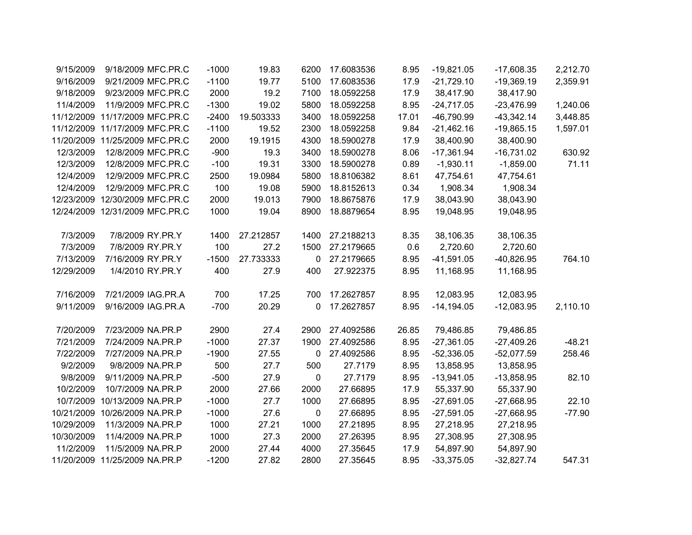| 9/15/2009  | 9/18/2009 MFC.PR.C             | $-1000$ | 19.83     | 6200        | 17.6083536 | 8.95  | $-19,821.05$  | $-17,608.35$ | 2,212.70 |
|------------|--------------------------------|---------|-----------|-------------|------------|-------|---------------|--------------|----------|
| 9/16/2009  | 9/21/2009 MFC.PR.C             | $-1100$ | 19.77     | 5100        | 17.6083536 | 17.9  | $-21,729.10$  | $-19,369.19$ | 2,359.91 |
| 9/18/2009  | 9/23/2009 MFC.PR.C             | 2000    | 19.2      | 7100        | 18.0592258 | 17.9  | 38,417.90     | 38,417.90    |          |
| 11/4/2009  | 11/9/2009 MFC.PR.C             | $-1300$ | 19.02     | 5800        | 18.0592258 | 8.95  | $-24,717.05$  | $-23,476.99$ | 1,240.06 |
|            | 11/12/2009 11/17/2009 MFC.PR.C | $-2400$ | 19.503333 | 3400        | 18.0592258 | 17.01 | -46,790.99    | $-43,342.14$ | 3,448.85 |
|            | 11/12/2009 11/17/2009 MFC.PR.C | $-1100$ | 19.52     | 2300        | 18.0592258 | 9.84  | $-21,462.16$  | $-19,865.15$ | 1,597.01 |
|            | 11/20/2009 11/25/2009 MFC.PR.C | 2000    | 19.1915   | 4300        | 18.5900278 | 17.9  | 38,400.90     | 38,400.90    |          |
| 12/3/2009  | 12/8/2009 MFC.PR.C             | $-900$  | 19.3      | 3400        | 18.5900278 | 8.06  | $-17,361.94$  | $-16,731.02$ | 630.92   |
| 12/3/2009  | 12/8/2009 MFC.PR.C             | $-100$  | 19.31     | 3300        | 18.5900278 | 0.89  | $-1,930.11$   | $-1,859.00$  | 71.11    |
| 12/4/2009  | 12/9/2009 MFC.PR.C             | 2500    | 19.0984   | 5800        | 18.8106382 | 8.61  | 47,754.61     | 47,754.61    |          |
| 12/4/2009  | 12/9/2009 MFC.PR.C             | 100     | 19.08     | 5900        | 18.8152613 | 0.34  | 1,908.34      | 1,908.34     |          |
|            | 12/23/2009 12/30/2009 MFC.PR.C | 2000    | 19.013    | 7900        | 18.8675876 | 17.9  | 38,043.90     | 38,043.90    |          |
|            | 12/24/2009 12/31/2009 MFC.PR.C | 1000    | 19.04     | 8900        | 18.8879654 | 8.95  | 19,048.95     | 19,048.95    |          |
|            |                                |         |           |             |            |       |               |              |          |
| 7/3/2009   | 7/8/2009 RY.PR.Y               | 1400    | 27.212857 | 1400        | 27.2188213 | 8.35  | 38,106.35     | 38,106.35    |          |
| 7/3/2009   | 7/8/2009 RY.PR.Y               | 100     | 27.2      | 1500        | 27.2179665 | 0.6   | 2,720.60      | 2,720.60     |          |
| 7/13/2009  | 7/16/2009 RY.PR.Y              | $-1500$ | 27.733333 | 0           | 27.2179665 | 8.95  | $-41,591.05$  | $-40,826.95$ | 764.10   |
| 12/29/2009 | 1/4/2010 RY.PR.Y               | 400     | 27.9      | 400         | 27.922375  | 8.95  | 11,168.95     | 11,168.95    |          |
|            |                                |         |           |             |            |       |               |              |          |
| 7/16/2009  | 7/21/2009 IAG.PR.A             | 700     | 17.25     | 700         | 17.2627857 | 8.95  | 12,083.95     | 12,083.95    |          |
| 9/11/2009  | 9/16/2009 IAG.PR.A             | $-700$  | 20.29     | 0           | 17.2627857 | 8.95  | $-14, 194.05$ | $-12,083.95$ | 2,110.10 |
|            |                                |         |           |             |            |       |               |              |          |
| 7/20/2009  | 7/23/2009 NA.PR.P              | 2900    | 27.4      | 2900        | 27.4092586 | 26.85 | 79,486.85     | 79,486.85    |          |
| 7/21/2009  | 7/24/2009 NA.PR.P              | $-1000$ | 27.37     | 1900        | 27.4092586 | 8.95  | $-27,361.05$  | $-27,409.26$ | $-48.21$ |
| 7/22/2009  | 7/27/2009 NA.PR.P              | $-1900$ | 27.55     | $\mathbf 0$ | 27.4092586 | 8.95  | $-52,336.05$  | $-52,077.59$ | 258.46   |
| 9/2/2009   | 9/8/2009 NA.PR.P               | 500     | 27.7      | 500         | 27.7179    | 8.95  | 13,858.95     | 13,858.95    |          |
| 9/8/2009   | 9/11/2009 NA.PR.P              | $-500$  | 27.9      | $\mathbf 0$ | 27.7179    | 8.95  | $-13,941.05$  | $-13,858.95$ | 82.10    |
| 10/2/2009  | 10/7/2009 NA.PR.P              | 2000    | 27.66     | 2000        | 27.66895   | 17.9  | 55,337.90     | 55,337.90    |          |
| 10/7/2009  | 10/13/2009 NA.PR.P             | $-1000$ | 27.7      | 1000        | 27.66895   | 8.95  | $-27,691.05$  | $-27,668.95$ | 22.10    |
|            | 10/21/2009 10/26/2009 NA.PR.P  | $-1000$ | 27.6      | $\pmb{0}$   | 27.66895   | 8.95  | $-27,591.05$  | $-27,668.95$ | $-77.90$ |
| 10/29/2009 | 11/3/2009 NA.PR.P              | 1000    | 27.21     | 1000        | 27.21895   | 8.95  | 27,218.95     | 27,218.95    |          |
| 10/30/2009 | 11/4/2009 NA.PR.P              | 1000    | 27.3      | 2000        | 27.26395   | 8.95  | 27,308.95     | 27,308.95    |          |
| 11/2/2009  | 11/5/2009 NA.PR.P              | 2000    | 27.44     | 4000        | 27.35645   | 17.9  | 54,897.90     | 54,897.90    |          |
|            | 11/20/2009 11/25/2009 NA.PR.P  | $-1200$ | 27.82     | 2800        | 27.35645   | 8.95  | $-33,375.05$  | $-32,827.74$ | 547.31   |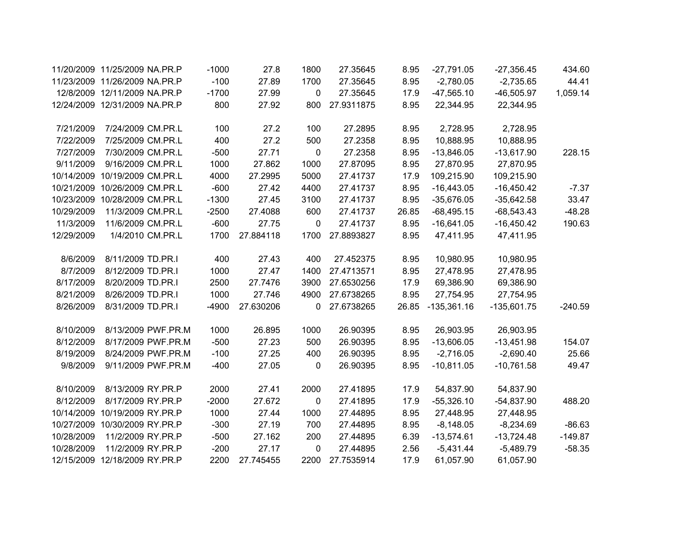|            | 11/20/2009 11/25/2009 NA.PR.P | $-1000$ | 27.8      | 1800        | 27.35645   | 8.95  | $-27,791.05$  | $-27,356.45$  | 434.60    |
|------------|-------------------------------|---------|-----------|-------------|------------|-------|---------------|---------------|-----------|
|            | 11/23/2009 11/26/2009 NA.PR.P | $-100$  | 27.89     | 1700        | 27.35645   | 8.95  | $-2,780.05$   | $-2,735.65$   | 44.41     |
|            | 12/8/2009 12/11/2009 NA.PR.P  | $-1700$ | 27.99     | 0           | 27.35645   | 17.9  | $-47,565.10$  | $-46,505.97$  | 1,059.14  |
|            | 12/24/2009 12/31/2009 NA.PR.P | 800     | 27.92     | 800         | 27.9311875 | 8.95  | 22,344.95     | 22,344.95     |           |
| 7/21/2009  | 7/24/2009 CM.PR.L             | 100     | 27.2      | 100         | 27.2895    | 8.95  | 2,728.95      | 2,728.95      |           |
| 7/22/2009  | 7/25/2009 CM.PR.L             | 400     | 27.2      | 500         | 27.2358    | 8.95  | 10,888.95     | 10,888.95     |           |
| 7/27/2009  | 7/30/2009 CM.PR.L             | $-500$  | 27.71     | $\mathbf 0$ | 27.2358    | 8.95  | $-13,846.05$  | $-13,617.90$  | 228.15    |
| 9/11/2009  | 9/16/2009 CM.PR.L             | 1000    | 27.862    | 1000        | 27.87095   | 8.95  | 27,870.95     | 27,870.95     |           |
|            | 10/14/2009 10/19/2009 CM.PR.L | 4000    | 27.2995   | 5000        | 27.41737   | 17.9  | 109,215.90    | 109,215.90    |           |
|            | 10/21/2009 10/26/2009 CM.PR.L | $-600$  | 27.42     | 4400        | 27.41737   | 8.95  | $-16,443.05$  | $-16,450.42$  | $-7.37$   |
| 10/23/2009 | 10/28/2009 CM.PR.L            | $-1300$ | 27.45     | 3100        | 27.41737   | 8.95  | $-35,676.05$  | $-35,642.58$  | 33.47     |
| 10/29/2009 | 11/3/2009 CM.PR.L             | $-2500$ | 27.4088   | 600         | 27.41737   | 26.85 | $-68,495.15$  | $-68,543.43$  | $-48.28$  |
| 11/3/2009  | 11/6/2009 CM.PR.L             | $-600$  | 27.75     | $\mathbf 0$ | 27.41737   | 8.95  | $-16,641.05$  | $-16,450.42$  | 190.63    |
| 12/29/2009 | 1/4/2010 CM.PR.L              | 1700    | 27.884118 | 1700        | 27.8893827 | 8.95  | 47,411.95     | 47,411.95     |           |
| 8/6/2009   | 8/11/2009 TD.PR.I             | 400     | 27.43     | 400         | 27.452375  | 8.95  | 10,980.95     | 10,980.95     |           |
| 8/7/2009   | 8/12/2009 TD.PR.I             | 1000    | 27.47     | 1400        | 27.4713571 | 8.95  | 27,478.95     | 27,478.95     |           |
| 8/17/2009  | 8/20/2009 TD.PR.I             | 2500    | 27.7476   | 3900        | 27.6530256 | 17.9  | 69,386.90     | 69,386.90     |           |
| 8/21/2009  | 8/26/2009 TD.PR.I             | 1000    | 27.746    | 4900        | 27.6738265 | 8.95  | 27,754.95     | 27,754.95     |           |
| 8/26/2009  | 8/31/2009 TD.PR.I             | $-4900$ | 27.630206 | 0           | 27.6738265 | 26.85 | $-135,361.16$ | $-135,601.75$ | $-240.59$ |
| 8/10/2009  | 8/13/2009 PWF.PR.M            | 1000    | 26.895    | 1000        | 26.90395   | 8.95  | 26,903.95     | 26,903.95     |           |
| 8/12/2009  | 8/17/2009 PWF.PR.M            | $-500$  | 27.23     | 500         | 26.90395   | 8.95  | $-13,606.05$  | $-13,451.98$  | 154.07    |
| 8/19/2009  | 8/24/2009 PWF.PR.M            | $-100$  | 27.25     | 400         | 26.90395   | 8.95  | $-2,716.05$   | $-2,690.40$   | 25.66     |
| 9/8/2009   | 9/11/2009 PWF.PR.M            | $-400$  | 27.05     | $\mathbf 0$ | 26.90395   | 8.95  | $-10,811.05$  | $-10,761.58$  | 49.47     |
| 8/10/2009  | 8/13/2009 RY.PR.P             | 2000    | 27.41     | 2000        | 27.41895   | 17.9  | 54,837.90     | 54,837.90     |           |
| 8/12/2009  | 8/17/2009 RY.PR.P             | $-2000$ | 27.672    | $\mathbf 0$ | 27.41895   | 17.9  | $-55,326.10$  | $-54,837.90$  | 488.20    |
|            | 10/14/2009 10/19/2009 RY.PR.P | 1000    | 27.44     | 1000        | 27.44895   | 8.95  | 27,448.95     | 27,448.95     |           |
|            | 10/27/2009 10/30/2009 RY.PR.P | $-300$  | 27.19     | 700         | 27.44895   | 8.95  | $-8,148.05$   | $-8,234.69$   | $-86.63$  |
| 10/28/2009 | 11/2/2009 RY.PR.P             | $-500$  | 27.162    | 200         | 27.44895   | 6.39  | $-13,574.61$  | $-13,724.48$  | $-149.87$ |
| 10/28/2009 | 11/2/2009 RY.PR.P             | $-200$  | 27.17     | $\mathbf 0$ | 27.44895   | 2.56  | $-5,431.44$   | $-5,489.79$   | $-58.35$  |
|            | 12/15/2009 12/18/2009 RY.PR.P | 2200    | 27.745455 | 2200        | 27.7535914 | 17.9  | 61,057.90     | 61,057.90     |           |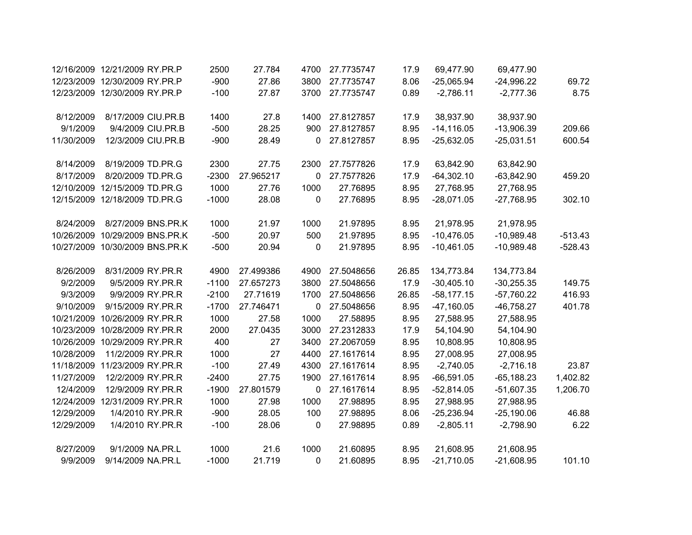|            | 12/16/2009 12/21/2009 RY.PR.P  | 2500    | 27.784    | 4700 | 27.7735747 | 17.9  | 69,477.90     | 69,477.90    |           |
|------------|--------------------------------|---------|-----------|------|------------|-------|---------------|--------------|-----------|
|            | 12/23/2009 12/30/2009 RY.PR.P  | $-900$  | 27.86     | 3800 | 27.7735747 | 8.06  | $-25,065.94$  | $-24,996.22$ | 69.72     |
|            | 12/23/2009 12/30/2009 RY.PR.P  | $-100$  | 27.87     | 3700 | 27.7735747 | 0.89  | $-2,786.11$   | $-2,777.36$  | 8.75      |
| 8/12/2009  | 8/17/2009 CIU.PR.B             | 1400    | 27.8      | 1400 | 27.8127857 | 17.9  | 38,937.90     | 38,937.90    |           |
| 9/1/2009   | 9/4/2009 CIU.PR.B              | $-500$  | 28.25     | 900  | 27.8127857 | 8.95  | $-14, 116.05$ | $-13,906.39$ | 209.66    |
|            |                                |         |           |      |            |       |               |              |           |
| 11/30/2009 | 12/3/2009 CIU.PR.B             | $-900$  | 28.49     | 0    | 27.8127857 | 8.95  | $-25,632.05$  | $-25,031.51$ | 600.54    |
| 8/14/2009  | 8/19/2009 TD.PR.G              | 2300    | 27.75     | 2300 | 27.7577826 | 17.9  | 63,842.90     | 63,842.90    |           |
| 8/17/2009  | 8/20/2009 TD.PR.G              | $-2300$ | 27.965217 | 0    | 27.7577826 | 17.9  | $-64,302.10$  | $-63,842.90$ | 459.20    |
| 12/10/2009 | 12/15/2009 TD.PR.G             | 1000    | 27.76     | 1000 | 27.76895   | 8.95  | 27,768.95     | 27,768.95    |           |
|            | 12/15/2009 12/18/2009 TD.PR.G  | $-1000$ | 28.08     | 0    | 27.76895   | 8.95  | $-28,071.05$  | $-27,768.95$ | 302.10    |
| 8/24/2009  | 8/27/2009 BNS.PR.K             | 1000    | 21.97     | 1000 | 21.97895   | 8.95  | 21,978.95     | 21,978.95    |           |
| 10/26/2009 | 10/29/2009 BNS.PR.K            | $-500$  | 20.97     | 500  | 21.97895   | 8.95  | $-10,476.05$  | $-10,989.48$ | $-513.43$ |
|            | 10/27/2009 10/30/2009 BNS.PR.K | $-500$  | 20.94     | 0    | 21.97895   | 8.95  | $-10,461.05$  | $-10,989.48$ | $-528.43$ |
| 8/26/2009  | 8/31/2009 RY.PR.R              | 4900    | 27.499386 | 4900 | 27.5048656 | 26.85 | 134,773.84    | 134,773.84   |           |
| 9/2/2009   | 9/5/2009 RY.PR.R               | $-1100$ | 27.657273 | 3800 | 27.5048656 | 17.9  |               |              | 149.75    |
|            |                                | $-2100$ | 27.71619  |      |            |       | $-30,405.10$  | $-30,255.35$ |           |
| 9/3/2009   | 9/9/2009 RY.PR.R               |         |           | 1700 | 27.5048656 | 26.85 | $-58,177.15$  | $-57,760.22$ | 416.93    |
| 9/10/2009  | 9/15/2009 RY.PR.R              | $-1700$ | 27.746471 | 0    | 27.5048656 | 8.95  | $-47,160.05$  | $-46,758.27$ | 401.78    |
| 10/21/2009 | 10/26/2009 RY.PR.R             | 1000    | 27.58     | 1000 | 27.58895   | 8.95  | 27,588.95     | 27,588.95    |           |
| 10/23/2009 | 10/28/2009 RY.PR.R             | 2000    | 27.0435   | 3000 | 27.2312833 | 17.9  | 54,104.90     | 54,104.90    |           |
| 10/26/2009 | 10/29/2009 RY.PR.R             | 400     | 27        | 3400 | 27.2067059 | 8.95  | 10,808.95     | 10,808.95    |           |
| 10/28/2009 | 11/2/2009 RY.PR.R              | 1000    | 27        | 4400 | 27.1617614 | 8.95  | 27,008.95     | 27,008.95    |           |
| 11/18/2009 | 11/23/2009 RY.PR.R             | $-100$  | 27.49     | 4300 | 27.1617614 | 8.95  | $-2,740.05$   | $-2,716.18$  | 23.87     |
| 11/27/2009 | 12/2/2009 RY.PR.R              | $-2400$ | 27.75     | 1900 | 27.1617614 | 8.95  | $-66,591.05$  | $-65,188.23$ | 1,402.82  |
| 12/4/2009  | 12/9/2009 RY.PR.R              | $-1900$ | 27.801579 | 0    | 27.1617614 | 8.95  | $-52,814.05$  | $-51,607.35$ | 1,206.70  |
| 12/24/2009 | 12/31/2009 RY.PR.R             | 1000    | 27.98     | 1000 | 27.98895   | 8.95  | 27,988.95     | 27,988.95    |           |
| 12/29/2009 | 1/4/2010 RY.PR.R               | $-900$  | 28.05     | 100  | 27.98895   | 8.06  | $-25,236.94$  | $-25,190.06$ | 46.88     |
| 12/29/2009 | 1/4/2010 RY.PR.R               | $-100$  | 28.06     | 0    | 27.98895   | 0.89  | $-2,805.11$   | $-2,798.90$  | 6.22      |
| 8/27/2009  | 9/1/2009 NA.PR.L               | 1000    | 21.6      | 1000 | 21.60895   | 8.95  | 21,608.95     | 21,608.95    |           |
| 9/9/2009   | 9/14/2009 NA.PR.L              | $-1000$ | 21.719    | 0    | 21.60895   | 8.95  | $-21,710.05$  | $-21,608.95$ | 101.10    |